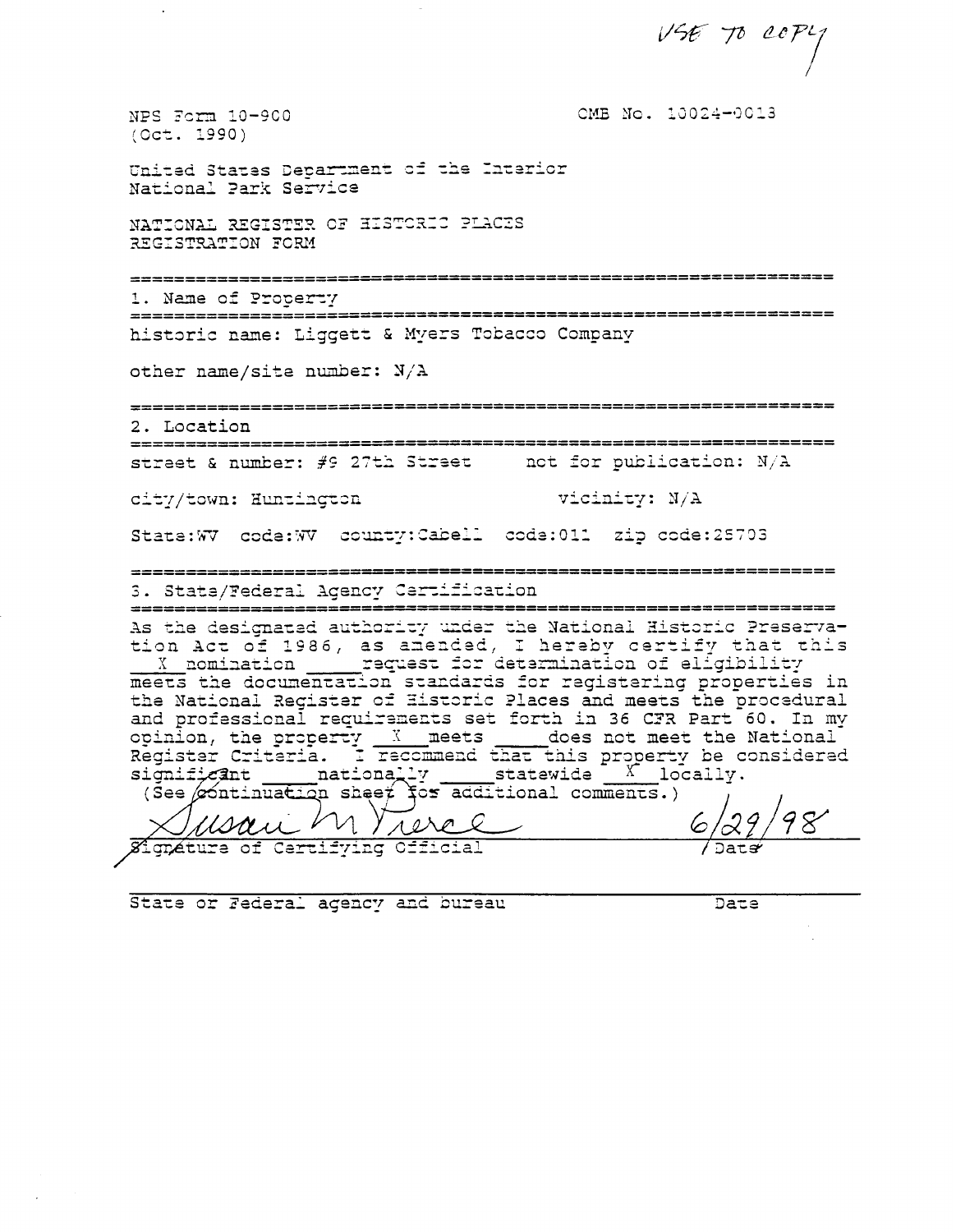$V567000P1$ 

OMB No. 10024-0013

NPS Form 10-900  $(Oct. 1990)$ 

United States Department of the Interior National Park Service

NATIONAL REGISTER OF HISTORIC PLACES REGISTRATION FORM

=================== ====================================

1. Name of Property 

historic name: Liggett & Myers Tobacco Company

other name/site number:  $N/A$ 

2. Location

street & number:  $\#9$  27th Street and for publication: N/A

city/town: Huntington

vicinity: N/A

State:WV code:WV county:Cabell code:011 zip code:25703

3. State/Federal Agency Certification

As the designated authority under the National Historic Preservation Act of 1986, as amended, I hereby certify that this<br>X nomination request for determination of eligibility<br>meets the documentation standards for registering properties in<br>the National Register of Historic Places and me and professional requirements set forth in 36 CFR Part 60. In my opinion, the property X meets does not meet the National Register Criteria. I recommend that this property be considered significant nationally statewide X locally.<br>
(See continuation sheet for additional comments.)

rere  $\overline{\mathscr{C}}$ gnature of Certifying Official

State or Federal agency and bureau

Date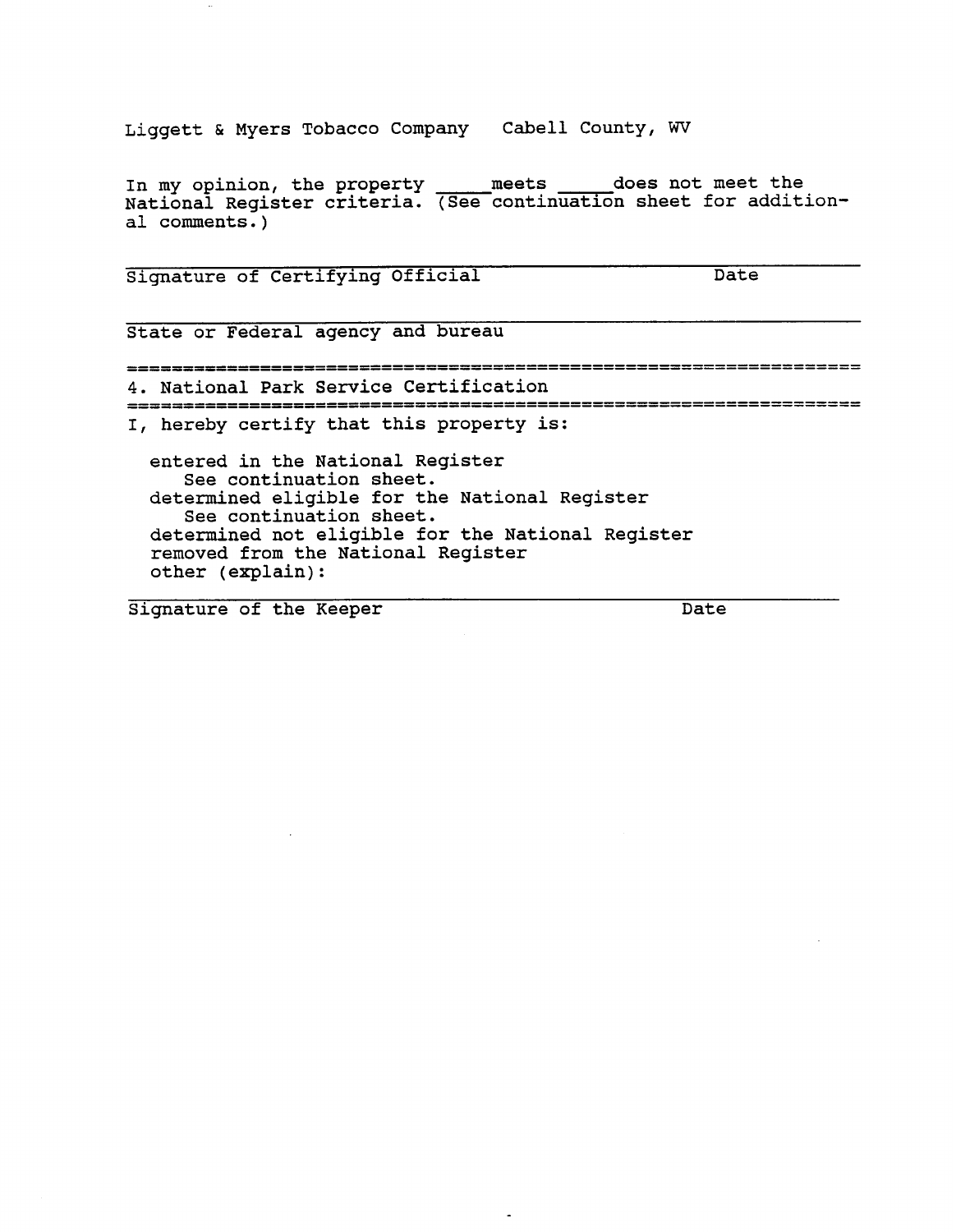Liggett & Myers Tobacco Company Cabell County, **WV** 

In my opinion, the property \_\_\_\_\_ meets \_\_\_\_\_ does not meet the National Register criteria. (See continuation sheet for additional comments. )

Signature of Certifying Official Date

State or Federal agency and bureau

4. National Park Service Certification

I, hereby certify that this property is:

entered in the National Register See continuation sheet. determined eligible for the National Register See continuation sheet. determined not eligible for the National Register removed from the National Register other (explain):

Signature of the Keeper Date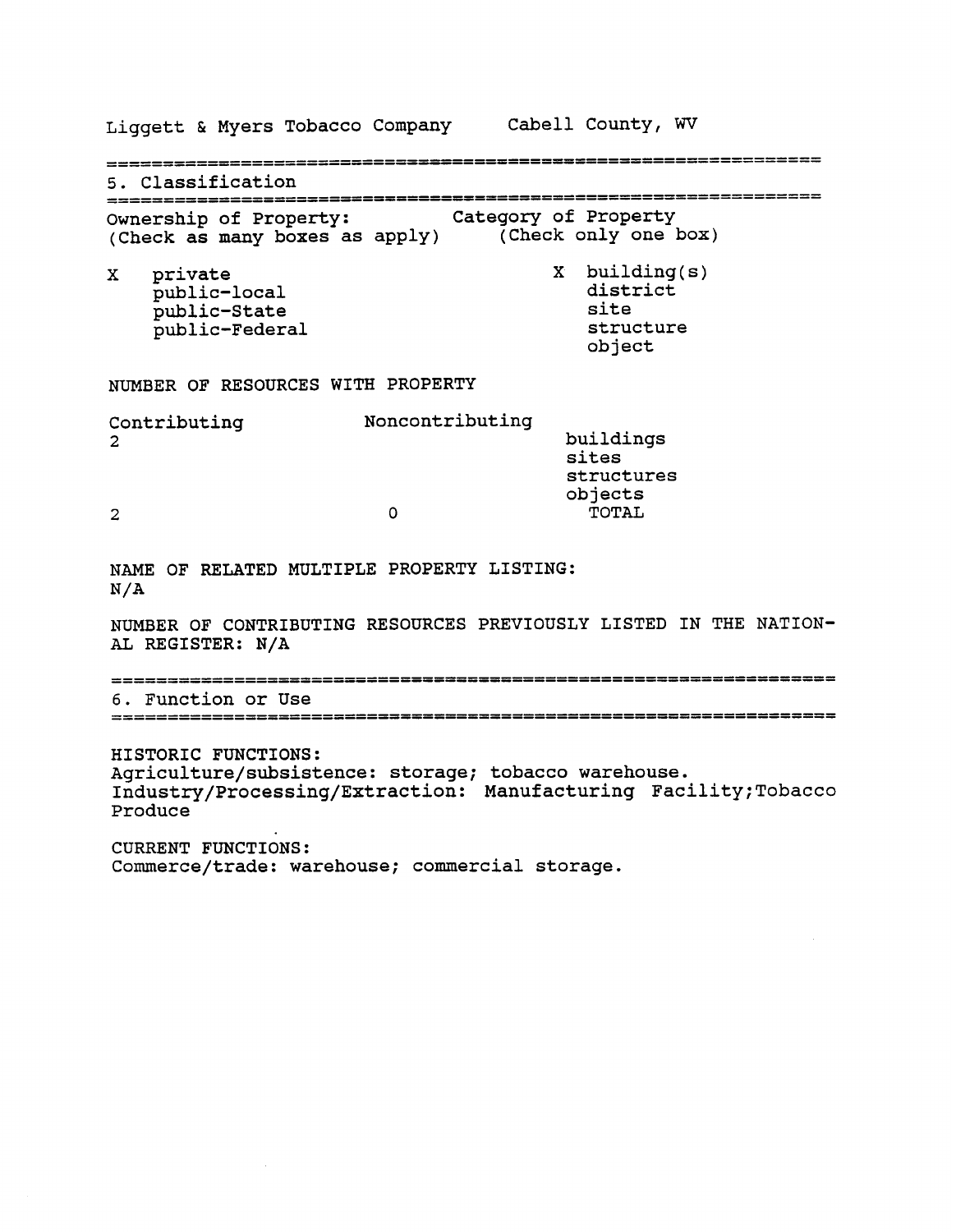Liggett & Myers Tobacco Company Cabell County, **WV**  5. Classification ................................................................ Ownership of Property: Category of Property (Check as many boxes as apply) (Check only one box) X building(s) **X** private district public-local site public-State structure public-Federal object NUMBER OF RESOURCES WITH PROPERTY Contributing Noncontributing buildings  $\overline{2}$ sites structures objects  $\mathbf{o}$ TOTAL  $\overline{2}$ NAME OF RELATED MULTIPLE PROPERTY LISTING: N/A NUMBER OF CONTRIBUTING RESOURCES PREVIOUSLY LISTED IN THE NATION-AL REGISTER: N/A 6. Function or Use HISTORIC FUNCTIONS: **Agriculture/subsistence:** storage; tobacco warehouse. **Industry/Processing/Extraction:** Manufacturing Faci1ity;Tobacco Produce CURRENT FUNCTIONS: Commerce/trade: warehouse; commercial storage.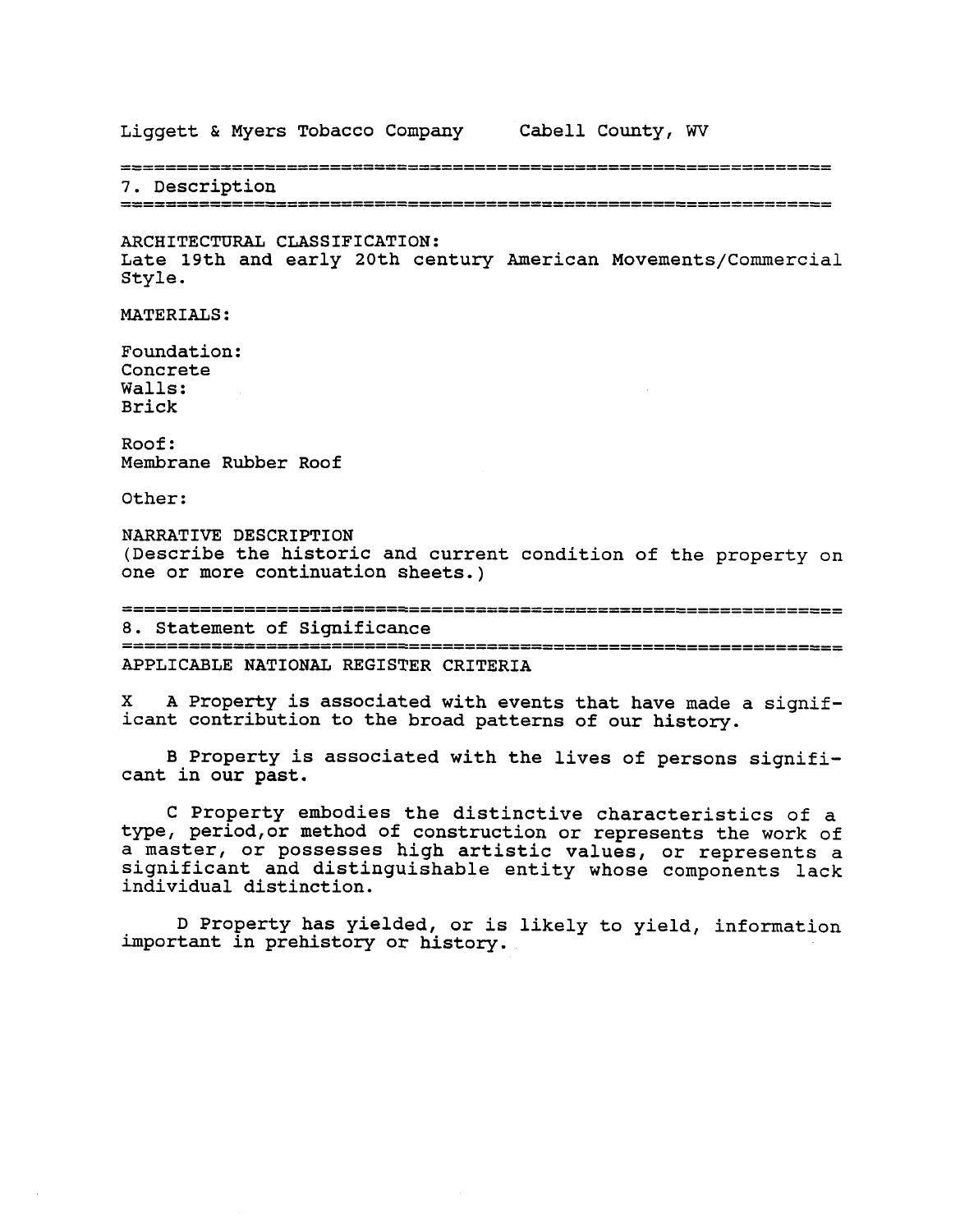Liggett & Myers Tobacco Company Cabell County, **WV** 

7. Description

ARCHITECTURAL CLASSIFICATION: Late 19th and early 20th century American Movements/Commercial Style.

MATERIALS:

Foundation: Concrete Walls: Brick

Roof: Membrane Rubber Roof

Other:

NARRATIVE DESCRIPTION (Describe the historic and current condition of the property on one or more continuation sheets.)

............................................................... .................................................................

8. Statement of Significance APPLICABLE NATIONAL REGISTER CRITERIA

**X** A Property is associated with events that have made a significant contribution to the broad patterns of our history.

**B** Property is associated with the lives of persons significant in our past.

C Property embodies the distinctive characteristics of a type, period, or method of construction or represents the work of a master, or possesses high artistic values, or represents a significant and distinguishable entity whose components lack individual distinction.

D Property has yielded, or is likely to yield, information important in prehistory or history.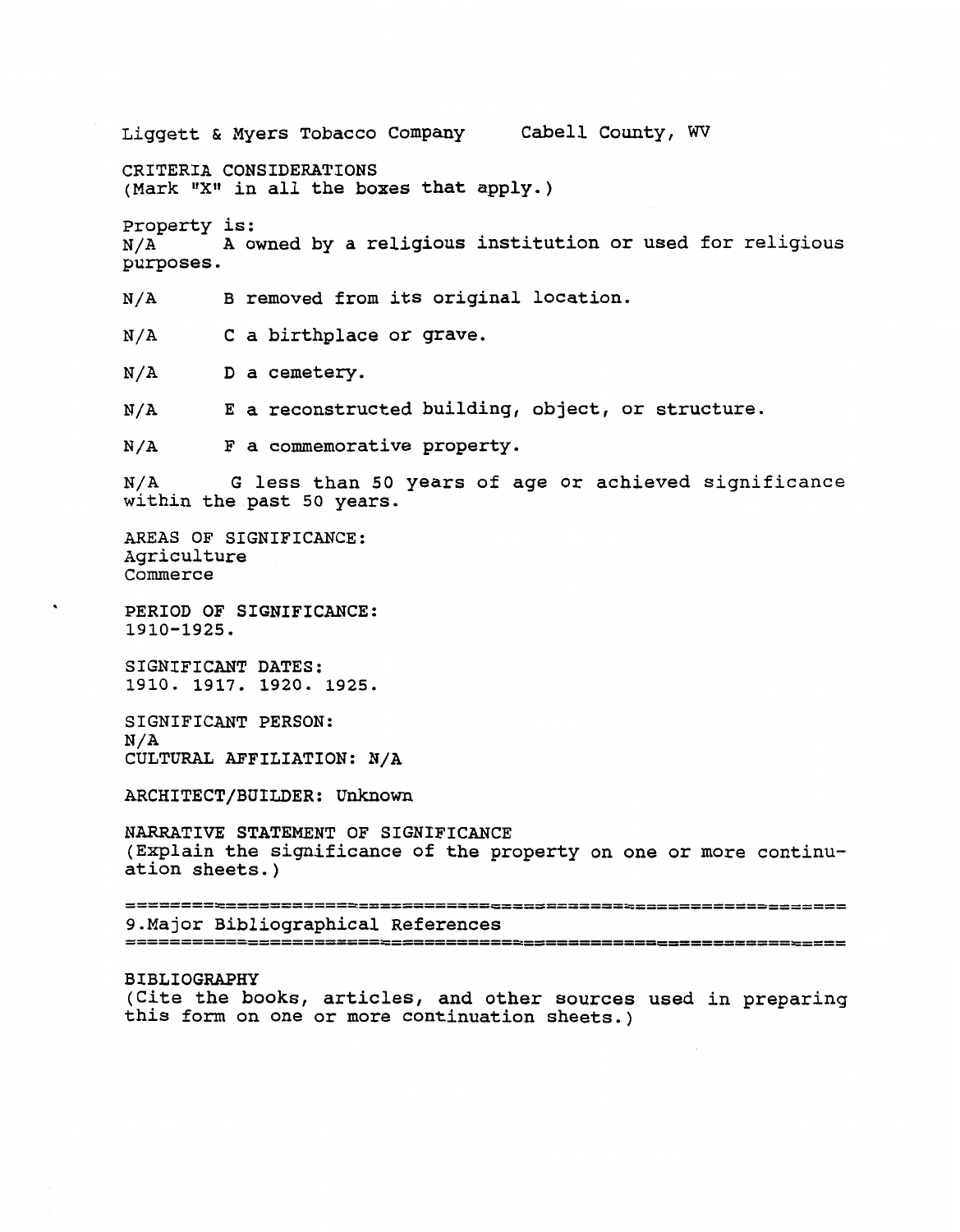Liggett & Myers Tobacco Company Cabell County, **WV**  CRITERIA CONSIDERATIONS (Mark "X" in all the boxes that apply.) Property is:  $N/A$  A owned by a religious institution or used for religious purposes. N/A B removed from its original location. N/A C a birthplace or grave. N/A D a cemetery. N/A E a reconstructed building, object, or structure. N/A F a commemorative property. N/A G less than 50 years of age or achieved significance within the past 50 years. AREAS OF SIGNIFICANCE: Agriculture Commerce PERIOD OF SIGNIFICANCE: 1910-1925. SIGNIFICANT DATES: 1910. 1917. 1920. 1925. SIGNIFICANT PERSON: N/A CULTURAL AFFILIATION: N/A ARCHITECT/BUILDER: Unknown NARRATIVE STATEMENT OF SIGNIFICANCE (Explain the significance of the property on one or more continuation sheets.) 9. Major Bibliographical References BIBLIOGRAPHY

(Cite the books, articles, and other sources used in preparing this form on one or more continuation sheets.)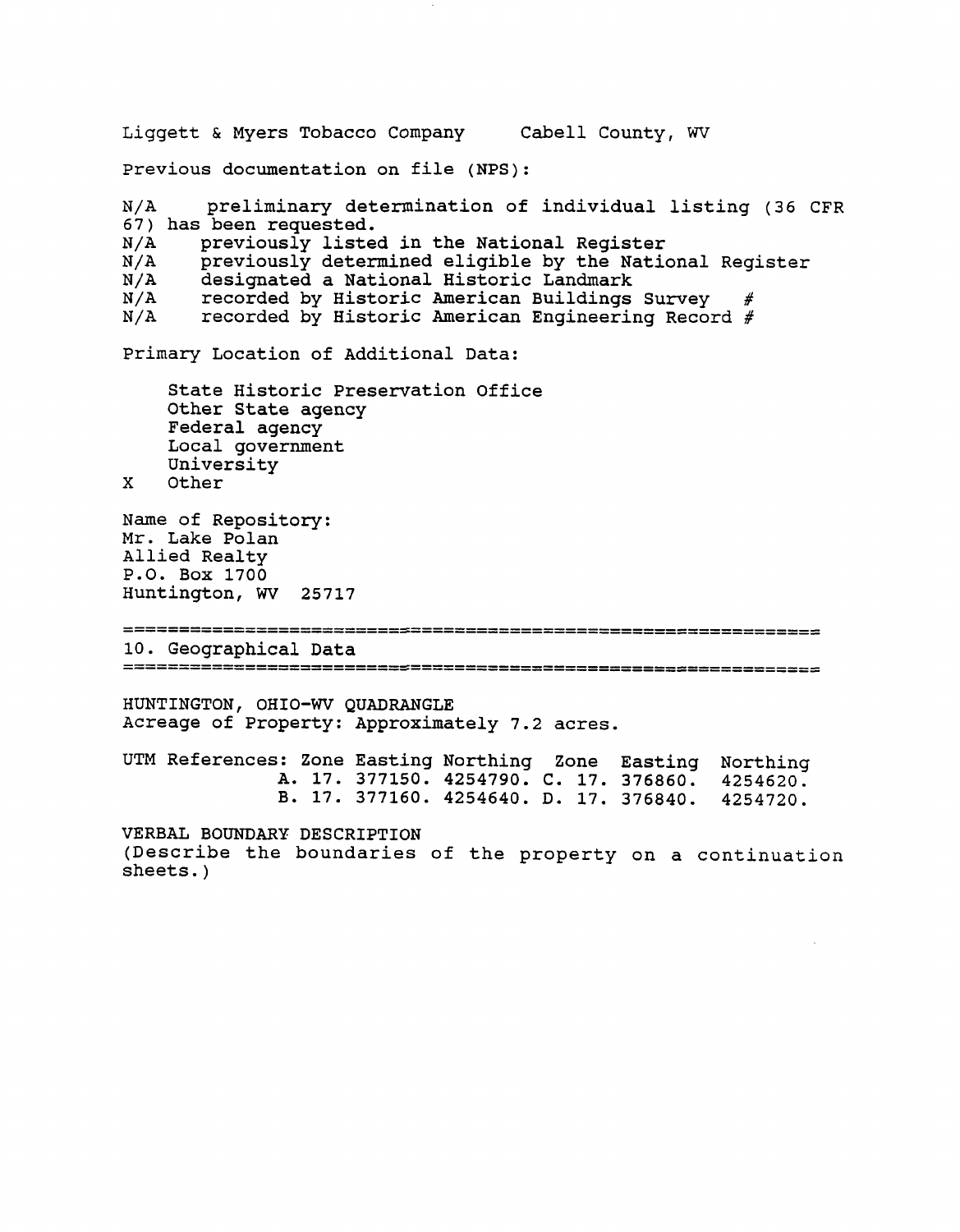Liggett & Myers Tobacco Company Cabell County, **WV**  Previous documentation on file (NPS): N/ A preliminary determination of individual listing **(36** CFR **67)** has been requested.  $N/A$  previously listed in the National Register  $N/A$  previously determined eligible by the Natio  $N/A$  previously determined eligible by the National Register  $N/A$  designated a National Historic Landmark N/A designated a National Historic Landmark<br>N/A recorded by Historic American Buildings  $N/A$  recorded by Historic American Buildings Survey<br> $N/A$  recorded by Historic American Engineering Recor recorded by Historic American Engineering Record  $#$ Primary Location of Additional Data: State Historic preservation Office Other State agency Federal agency Local government University X Other Name of Repository: Mr. Lake Polan Allied Realty P.O. Box **1700**  Huntington, **WV 25717**  10. Geographical Data HUNTINGTON, OHIO-WV QUADRANGLE Acreage of Property: Approximately **7.2** acres. UTM References: Zone Easting Northing Zone Easting Northing A. **17. 377150. 4254790. C. 17. 376860. 4254620. B. 17. 377160. 4254640. D. 17. 376840. 4254720.**  VERBAL BOUNDARY DESCRIPTION (Describe the boundaries of the property on a continuation sheets. )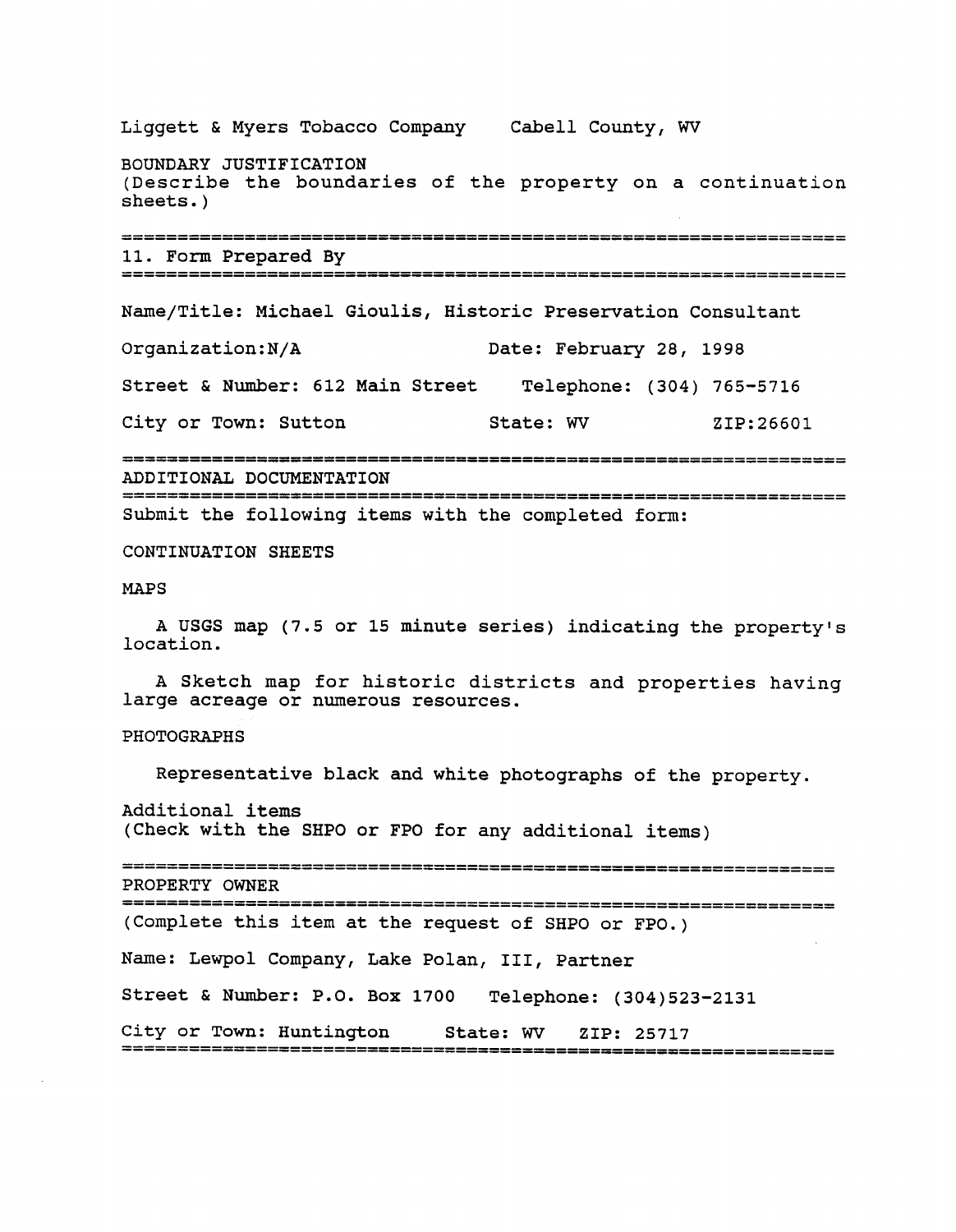Liggett & Myers Tobacco Company Cabell County, WV BOUNDARY JUSTIFICATION (Describe the boundaries of the property on a continuation sheets. ) 11. Form Prepared By Name/Title: Michael Gioulis, Historic Preservation Consultant Organization:N/A Date: February 28, 1998 Street & Number: 612 Main Street Telephone: (304) 765-5716 City or Town: Sutton State: WV ZIP:26601 ADDITIONAL DOCUMENTATION Submit the following items with the completed form: CONTINUATION SHEETS MAPS A USGS map (7.5 or 15 minute series) indicating the property's location. A Sketch map for historic districts and properties having large acreage or numerous resources. PHOTOGRAPHS Representative black and white photographs of the property. Additional items (Check with the SHPO or FPO for any additional items) PROPERTY OWNER (Complete this item at the request of SHPO or FPO.) Name: Lewpol Company, Lake Polan, 111, Partner Street & Number: P.O. Box 1700 Telephone: (304)523-2131 City or Town: Huntington State: WV ZIP: 25717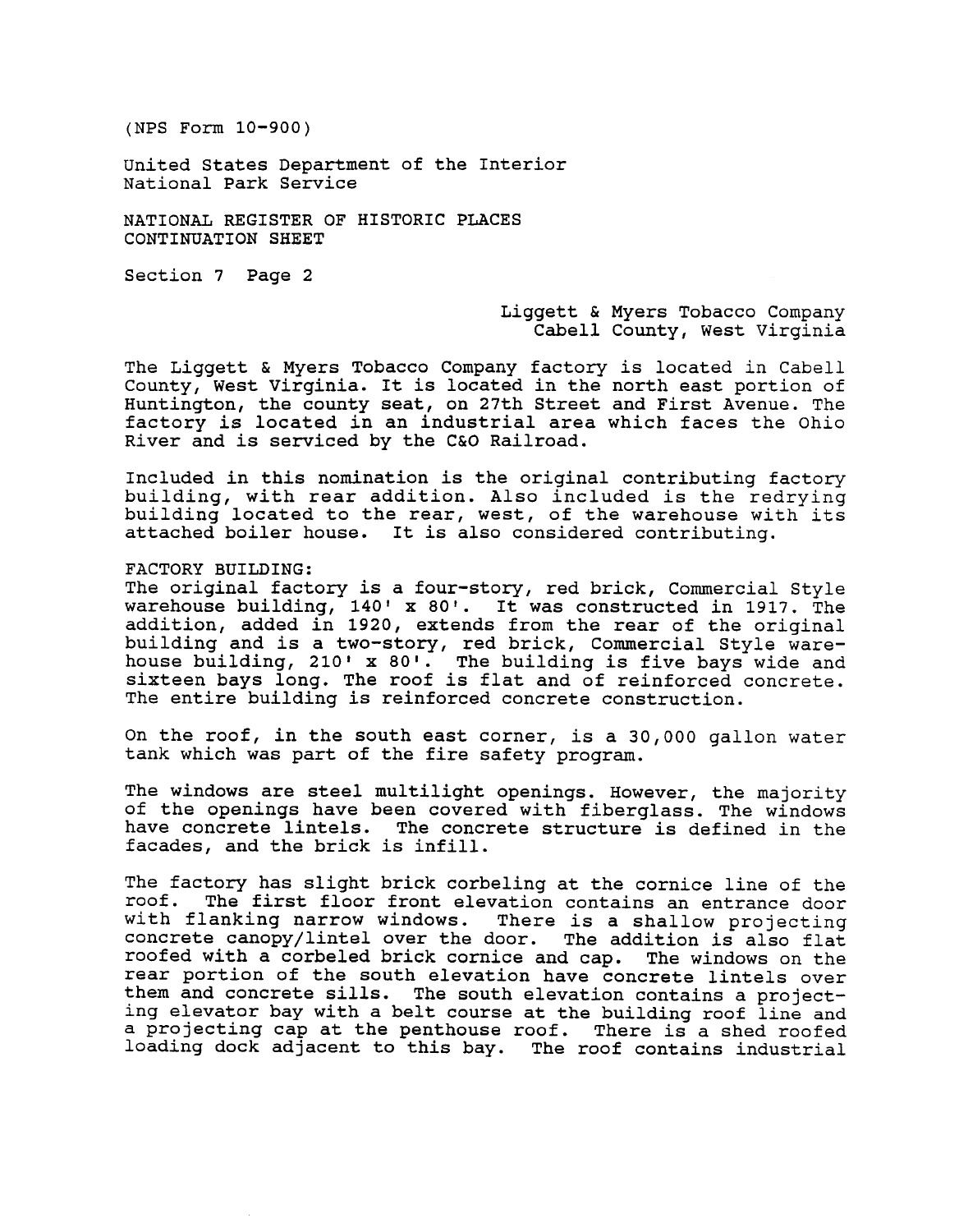United States Department of the Interior National Park Service

NATIONAL REGISTER OF HISTORIC PLACES CONTINUATION SHEET

Section 7 Page 2

# Liggett & Myers Tobacco Company Cabell County, West Virginia

The Liggett & Myers Tobacco Company factory is located in Cabell County, West Virginia. It is located in the north east portion of Huntington, the county seat, on 27th Street and First Avenue. The factory is located in an industrial area which faces the Ohio River and is serviced by the **C&O** Railroad.

Included in this nomination is the original contributing factory building, with rear addition. Also included is the redrying building located to the rear, west, of the warehouse with its attached boiler house. It is also considered contributing.

FACTORY BUILDING:

The original factory is a four-story, red brick, Commercial Style warehouse building, 140' x 80'. It was constructed in 1917. The addition, added in 1920, extends from the rear of the original building and is a two-story, red brick, Commercial Style warehouse building, 210' x 80'. The building is five bays wide and sixteen bays long. The roof is flat and of reinforced concrete. The entire building is reinforced concrete construction.

On the roof, in the south east corner, is a 30,000 gallon water tank which was part of the fire safety program.

The windows are steel multilight openings. However, the majority of the openings have been covered with fiberglass. The windows have concrete lintels. The concrete structure is defined in the facades, and the brick is infill.

The factory has slight brick corbeling at the cornice line of the roof. The first floor front elevation contains an entrance door with flanking narrow windows. There is a shallow projecting concrete canopy/lintel over the door. The addition is also flat roofed with a corbeled brick cornice and cap. The windows on the rear portion of the south elevation have concrete lintels over them and concrete sills. The south elevation contains a projecting elevator bay with a belt course at the building roof line and a projecting cap at the penthouse roof. There is a shed roofed loading dock adjacent to this bay. The roof contains industrial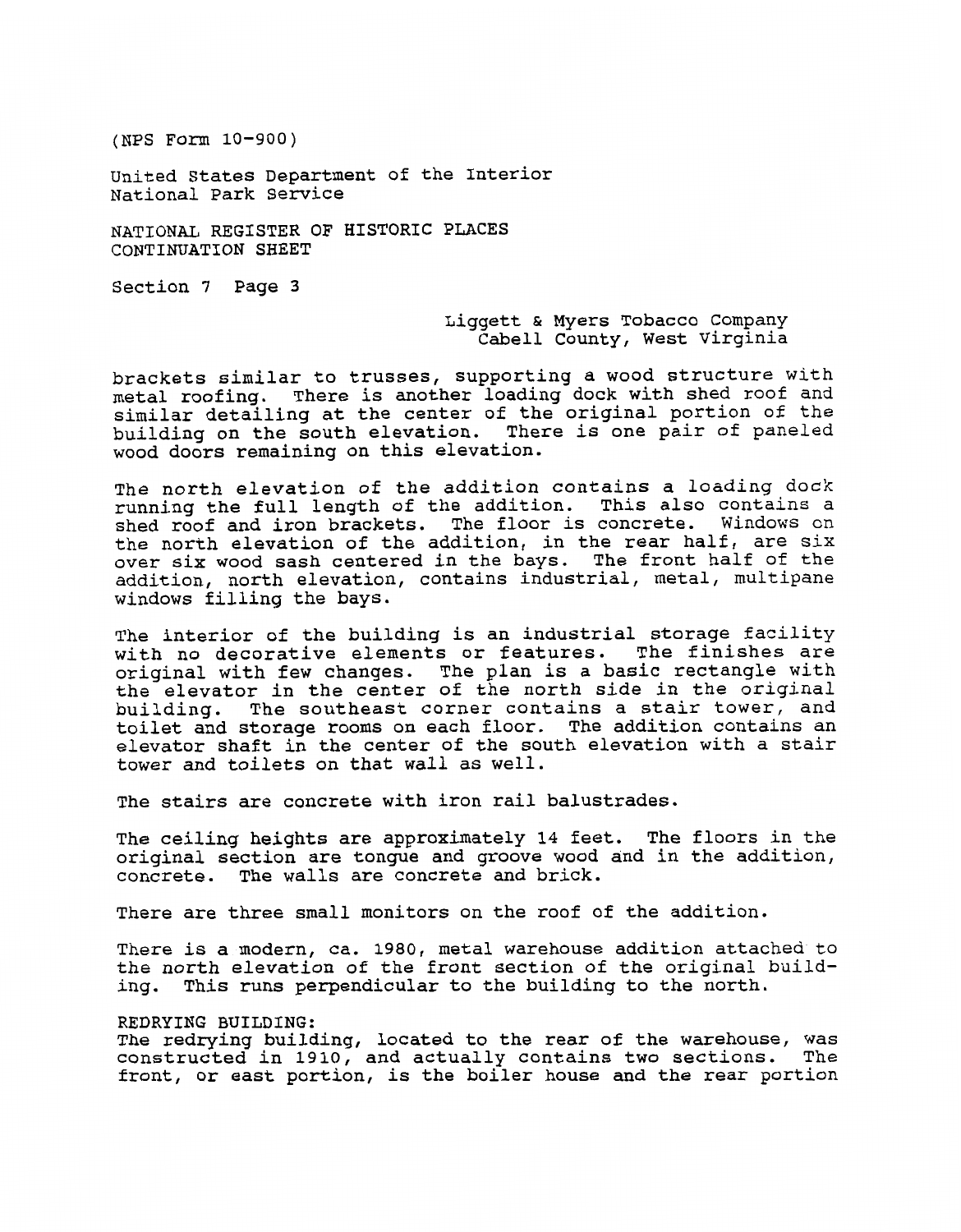United States Department of the Interior National Park Service

ATIONAL REGISTER OF HISTORIC PLACES CONTINUATION SHEET

Section 7 Page **3** 

Liggett & Myers Tobacco Company Cabell County, West Virginia

brackets similar to trusses, supporting a wood structure with metal roofing. There is another loading dock with shed roof and similar detailing at the center of the original portion of the building on the south elevation. There is one pair of paneled wood doors remaining on this elevation.

The north elevation of the addition contains a loading dock running the full length of the addition. This also contains a shed roof and iron brackets. The floor is concrete. Windows on the north elevation of the addition, in the rear half, are six over six wood sash centered in the bays. The front half of the addition, north elevation, contains industrial, metal, multipane windows filling the bays.

The interior of the building is an industrial storage facility with no decorative elements or features. The finishes are original with few changes. The plan is a basic rectangle with the elevator in the center of the north side in the original building. The southeast corner contains a stair tower, and toilet and storage rooms on each floor. The addition contains an elevator shaft in the center of the south elevation with a stair tower and toilets on that wall as well.

The stairs are concrete with iron rail balustrades.

The ceiling heights are approximately 14 feet. The floors in the original section are tongue and groove wood and in the addition, concrete. The walls are concrete and brick.

There are three small monitors on the roof of the addition.

There is a modern, ca. 1980, metal warehouse addition attached to the north elevation of the front section of the original building. This runs perpendicular to the building to the north.

## REDRYING BUILDING:

The redrying building, located to the rear of the warehouse, was constructed in 1910, and actually contains two sections. The front, or east portion, is the boiler house and the rear portion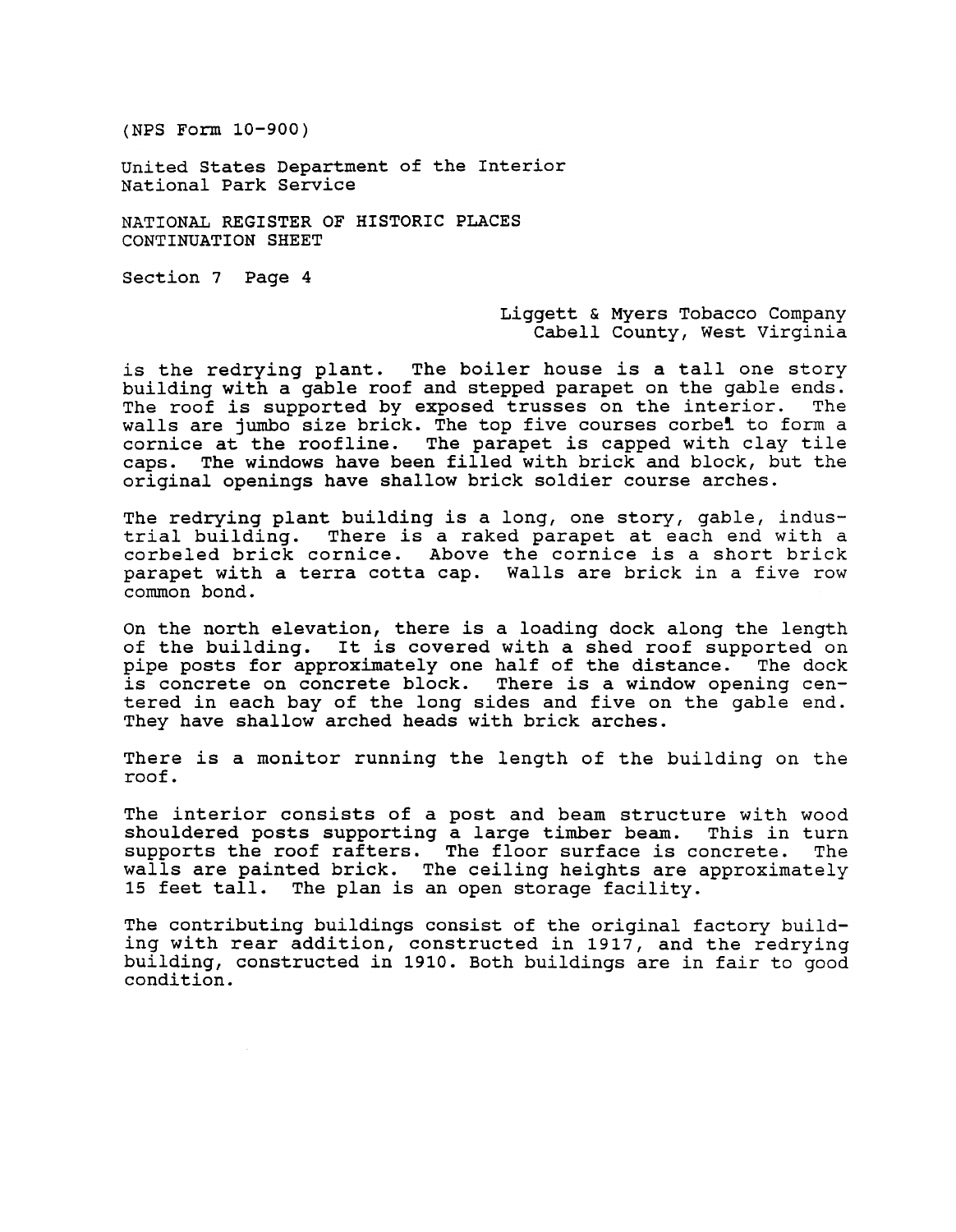United States Department of the Interior National Park Service

NATIONAL REGISTER OF HISTORIC PLACES CONTINUATION SHEET

Section 7 Page 4

### Liggett & Myers Tobacco Company Cabell County, West Virginia

is the redrying plant. The boiler house is a tall one story building with a gable roof and stepped parapet on the gable ends.<br>The roof is supported by exposed trusses on the interior. The The roof is supported by exposed trusses on the interior. walls are jumbo size brick. The top five courses corbel to form a cornice at the roofline. The parapet is capped with clay tile caps. The windows have been filled with brick and block, but the original openings have shallow brick soldier course arches.

The redrying plant building is a long, one story, gable, industrial building. There is a raked parapet at each end with a corbeled brick cornice. Above the cornice is a short brick parapet with a terra cotta cap. Walls are brick in a five row common bond.

On the north elevation, there is a loading dock along the length of the building. It is covered with a shed roof supported on pipe posts for approximately one half of the distance. The dock is concrete on concrete block. There is a window opening centered in each bay of the long sides and five on the gable end. They have shallow arched heads with brick arches.

There is a monitor running the length of the building on the roof.

The interior consists of a post and beam structure with wood shouldered posts supporting a large timber beam. This in turn supports the roof rafters. The floor surface is concrete. The walls are painted brick. The ceiling heights are approximately 15 feet tall. The plan is an open storage facility.

The contributing buildings consist of the original factory building with rear addition, constructed in 1917, and the redrying building, constructed in 1910. Both buildings are in fair to good condition.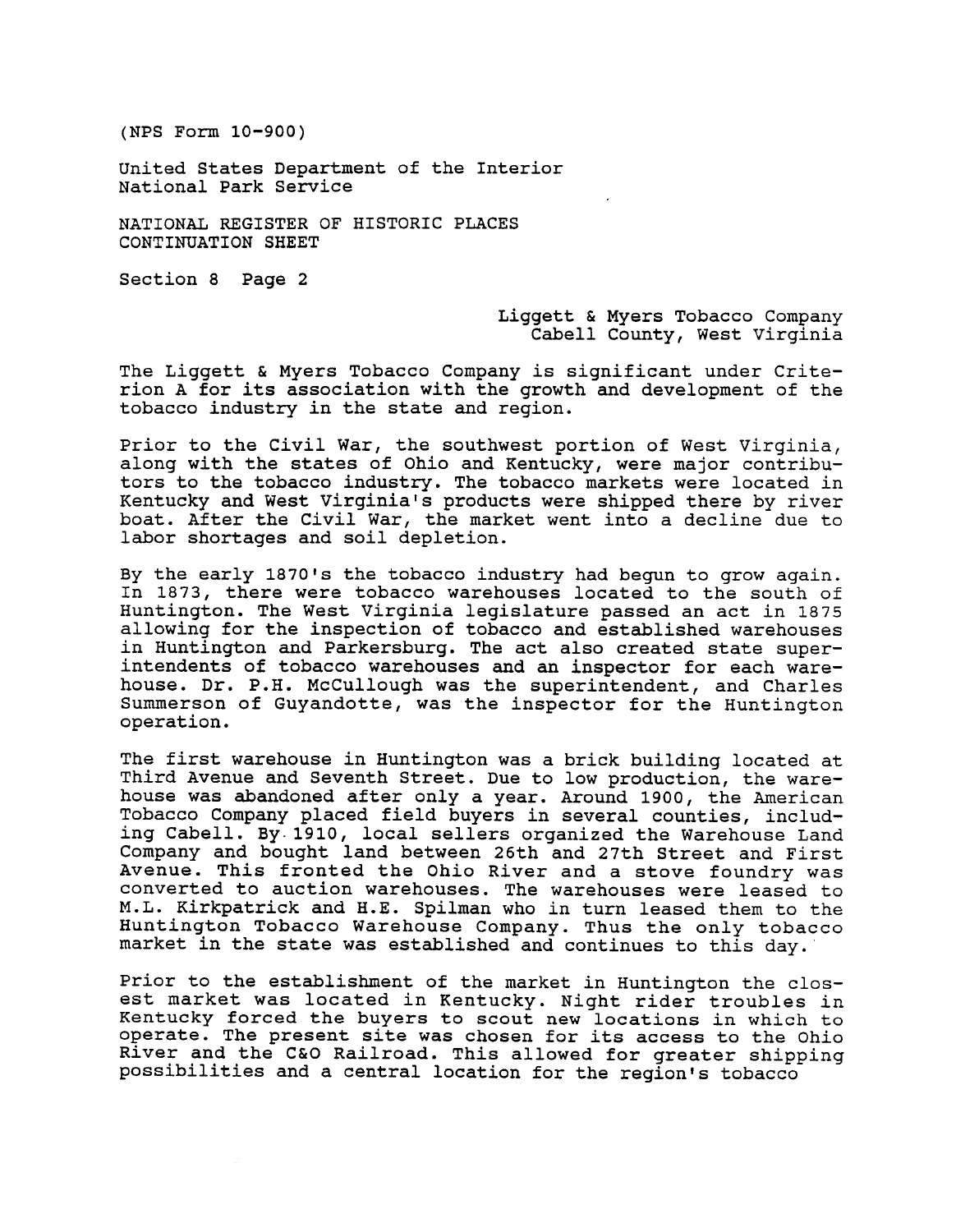United States Department of the Interior National Park Service

NATIONAL REGISTER OF HISTORIC PLACES CONTINUATION SHEET

Section 8 Page 2

## Liggett & Myers Tobacco Company Cabell County, West Virginia

The Liggett & Myers Tobacco Company is significant under Crite-Inc Inggett a nyers resucce company is significant under crite<br>rion A for its association with the growth and development of the<br>tobacco industry in the state and region.

Prior to the Civil War, the southwest portion of West Virginia, along with the states of Ohio and Kentucky, were major contributors to the tobacco industry. The tobacco markets were located in Kentucky and West Virginia's products were shipped there by river boat. After the Civil War, the market went into a decline due to labor shortages and soil depletion.

By the early 1870's the tobacco industry had begun to grow again. In 1873, there were tobacco warehouses located to the south of Huntington. The West Virginia legislature passed an act in 1875 allowing for the inspection of tobacco and established warehouses in Huntington and Parkersburg. The act also created state superintendents of tobacco warehouses and an inspector for each warehouse. Dr. P.H. McCullough was the superintendent, and Charles Summerson of Guyandotte, was the inspector for the Huntington operation.

The first warehouse in Huntington was a brick building located at Third Avenue and Seventh Street. Due to low production, the warehouse was abandoned after only a year. Around 1900, the American Tobacco Company placed field buyers in several counties, including Cabell. By.1910, local sellers organized the Warehouse Land Company and bought land between 26th and 27th Street and First Avenue. This fronted the Ohio River and a stove foundry was converted to auction warehouses. The warehouses were leased to M.L. Kirkpatrick and H.E. Spilman who in turn leased them to the Huntington Tobacco Warehouse Company. Thus the only tobacco market in the state was established and continues to this day.

Prior to the establishment of the market in Huntington the closest market was located in Kentucky. Night rider troubles in Kentucky forced the buyers to scout new locations in which to operate. The present site was chosen for its access to the Ohio River and the C&O Railroad. This allowed for greater shipping possibilities and a central location for the region's tobacco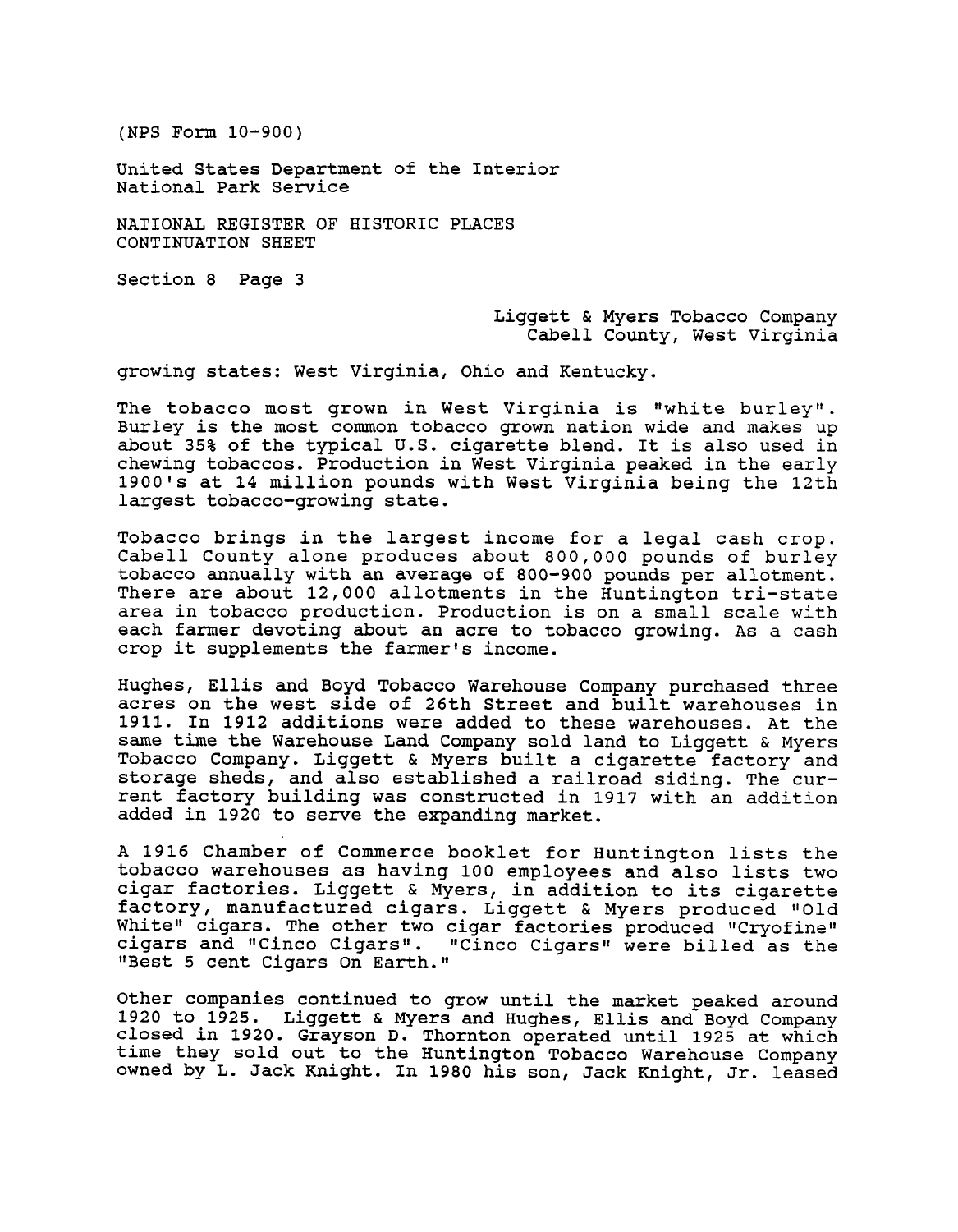United States Department of the Interior National Park Service

NATIONAL REGISTER OF HISTORIC PLACES CONTINUATION SHEET

Section 8 Page **3** 

Liggett & Myers Tobacco Company Cabell County, West Virginia

growing states: West Virginia, Ohio and Kentucky.

The tobacco most grown in West Virginia is "white burley". Burley is the most common tobacco grown nation wide and makes up about **35%** of the typical U.S. cigarette blend. It is also used in chewing tobaccos. Production in West Virginia peaked in the early 1900's at 14 million pounds with West Virginia being the 12th largest tobacco-growing state.

Tobacco brings in the largest income for a legal cash crop. Cabell County alone produces about 800,000 pounds of burley tobacco annually with an average of 800-900 pounds per allotment. There are about 12,000 allotments in the Huntington tri-state area in tobacco production. Production is on a small scale with each farmer devoting about an acre to tobacco growing. As a cash crop it supplements the farmer's income.

Hughes, Ellis and Boyd Tobacco Warehouse Company purchased three acres on the west side of 26th Street and built warehouses in 1911. In 1912 additions were added to these warehouses. At the same time the Warehouse Land Company sold land to Liggett & Myers Tobacco Company. Liggett & Myers built a cigarette factory and storage sheds, and also established a railroad siding. The current factory building was constructed in 1917 with an addition added in 1920 to serve the expanding market.

A 1916 Chamber of Commerce booklet for Huntington lists the tobacco warehouses as having 100 employees and also lists two cigar factories. Liggett & Myers, in addition to its cigarette factory, manufactured cigars. Liggett & Myers produced "Old White" cigars. The other two cigar factories produced "Cryofine" cigars and "Cinco Cigars". "Cinco Cigars" were billed as the "Best 5 cent Cigars On Earth."

Other companies continued to grow until the market peaked around 1920 to 1925. Liggett & Myers and Hughes, Ellis and Boyd Company closed in 1920. Grayson D. Thornton operated until 1925 at which time they sold out to the Huntington Tobacco Warehouse Company owned by L. Jack Knight. In 1980 his son, Jack Knight, Jr. leased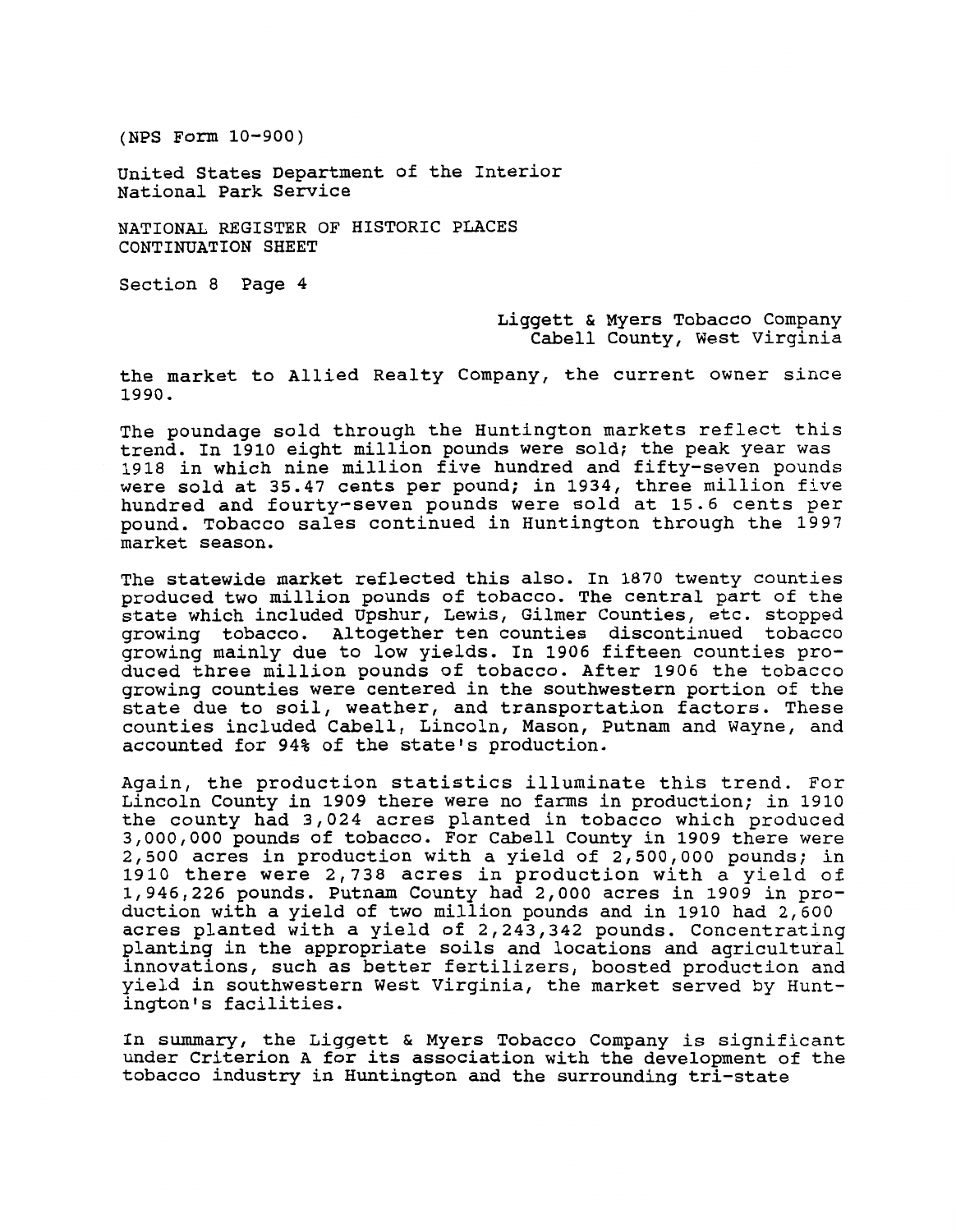United States Department of the Interior National Park Service

NATIONAL REGISTER OF HISTORIC PLACES CONTINUATION SHEET

Section 8 Page 4

Liggett & Myers Tobacco Company Cabell County, West Virginia

the market to Allied Realty Company, the current owner since 1990.

The poundage sold through the Huntington markets reflect this trend. In 1910 eight million pounds were sold; the peak year was 1918 in which nine million five hundred and fifty-seven pounds were sold at 35.47 cents per pound; in 1934, three million five hundred and fourty-seven pounds were sold at 15.6 cents per pound. Tobacco sales continued in Huntington through the 1997 market season.

The statewide market reflected this also. In 1870 twenty counties produced two million pounds of tobacco. The central part of the state which included Upshur, Lewis, Gilmer Counties, etc. stopped growing tobacco. Altogether ten counties discontinued tobacco growing mainly due to low yields. In 1906 fifteen counties produced three million pounds of tobacco. After 1906 the tobacco growing counties were centered in the southwestern portion of the state due to soil, weather, and transportation factors. These counties included Cabell, Lincoln, Mason, Putnam and Wayne, and accounted for 94% of the state's production.

Again, the production statistics illuminate this trend. For Lincoln County in 1909 there were no farms in production; in 1910 the county had 3,024 acres planted in tobacco which produced 3,000,000 pounds of tobacco. For Cabell County in 1909 there were 2,500 acres in production with a yield of 2,500,000 pounds; in 1910 there were 2,738 acres in production with a yield of 1,946,226 pounds. Putnam County had 2,000 acres in 1909 in production with a yield of two million pounds and in 1910 had 2,600 acres planted with a yield of 2,243,342 pounds. Concentrating planting in the appropriate soils and locations and agricultural innovations, such as better fertilizers, boosted production and yield in southwestern West Virginia, the market served by Huntington's facilities.

In summary, the Liggett & Myers Tobacco Company is significant under Criterion A for its association with the development of the tobacco industry in Huntington and the surrounding tri-state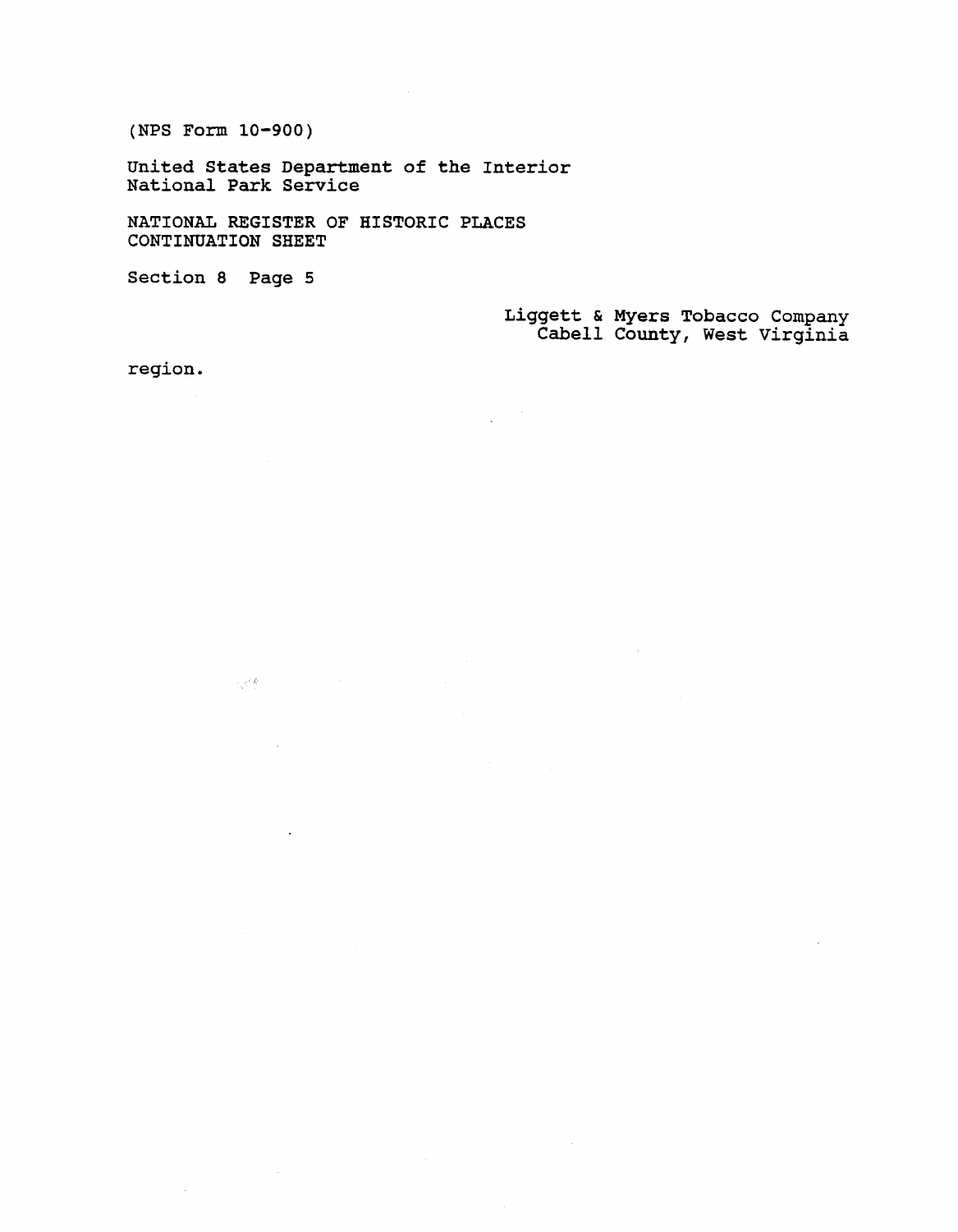**United States Department of the Interior National Park Service** 

**NATIONAL REGISTER OF HISTORIC PLACES CONTINUATION SHEET** 

**Section 8 Page 5** 

 $\sim e^{i\phi}h$ 

**Liggett** & **Myers Tobacco Company Cabell County, West Virginia** 

**region.**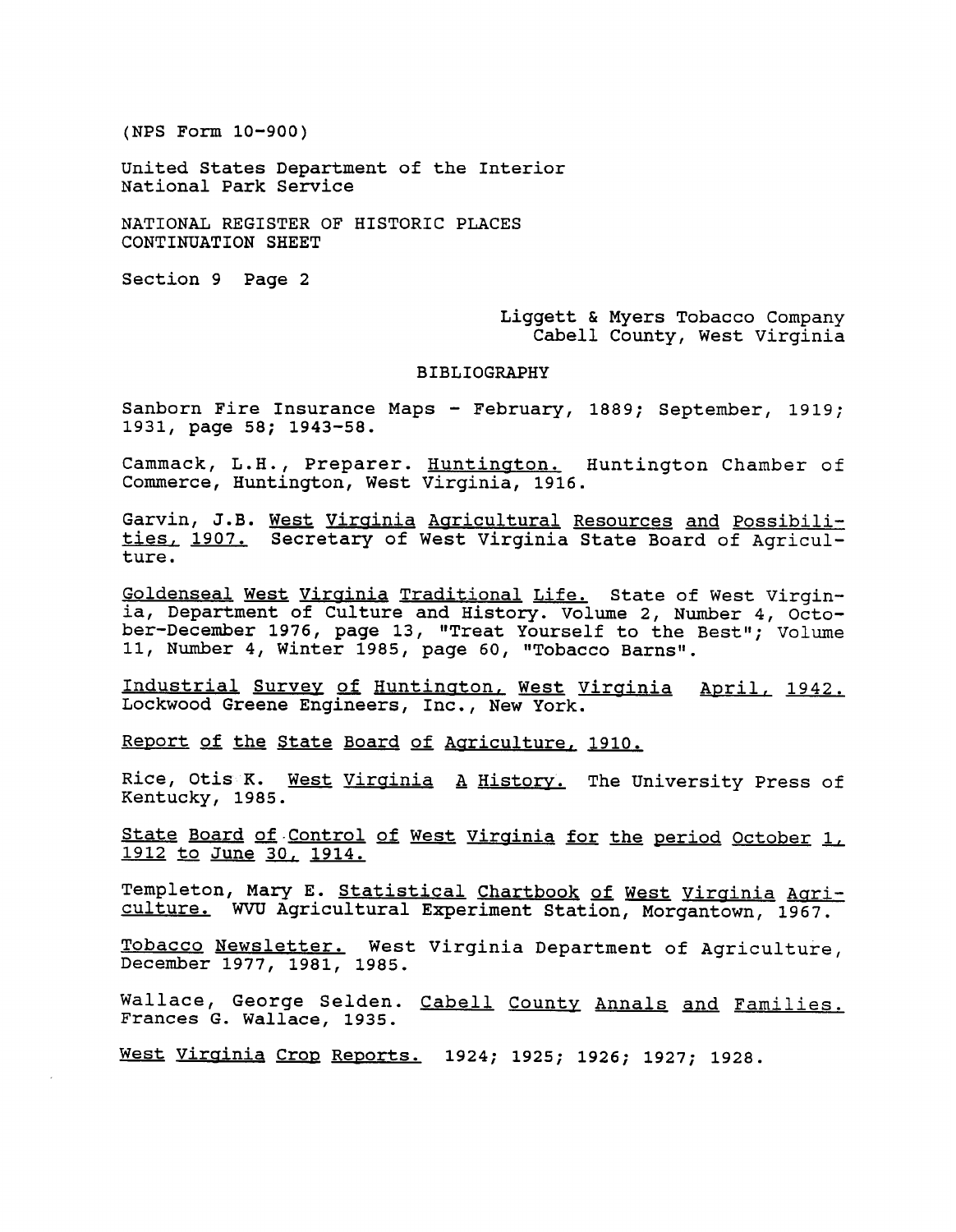United States Department of the Interior National Park Service

NATIONAL REGISTER OF HISTORIC PLACES CONTINUATION SHEET

Section 9 Page 2

Liggett & Myers Tobacco Company Cabell County, West Virginia

#### BIBLIOGRAPHY

Sanborn Fire Insurance Maps - February, 1889; September, 1919; 1931, page 58; 1943-58.

Cammack, L.H., Preparer. Huntinaton. Huntington Chamber of Commerce, Huntington, West Virginia, 1916.

Garvin, J.B. West Virainia Aaricultural Resources **and** Possibilities, 1907. Secretary of West Virginia State Board of Agriculture.

Goldenseal West Virginia Traditional Life. State of West Virginia, Department of Culture and History. Volume 2, Number 4, October-December 1976, page 13, "Treat Yourself to the Best"; Volume 11, Number 4, Winter 1985, page 60, "Tobacco Barns".

Industrial Survey of Huntington, West Virginia April, 1942. Lockwood Greene Engineers, Inc., New York.

Report of the State Board of Aariculture, 1910.

Rice, Otis K. West Virginia A History. The University Press of Kentucky, 1985.

State Board of-Control of West Virainia for the period October I, entucky, 1985.<br><u>State Board of Control of</u><br>1912 to June 30, 1914.

Templeton, Mary E. Statistical Chartbook of West Virginia Agriculture. WW Agricultural Experiment Station, Morgantown, 1967.

Tobacco Newsletter. West Virginia Department of Agriculture, December 1977, 1981, 1985.

<sup>d</sup>allace, George Selden. <u>Cabell County Annals and Families.</u> Frances G. Wallace, 1935.

<u>Vest Virginia Crop Reports.</u> 1924; 1925; 1926; 1927; 1928.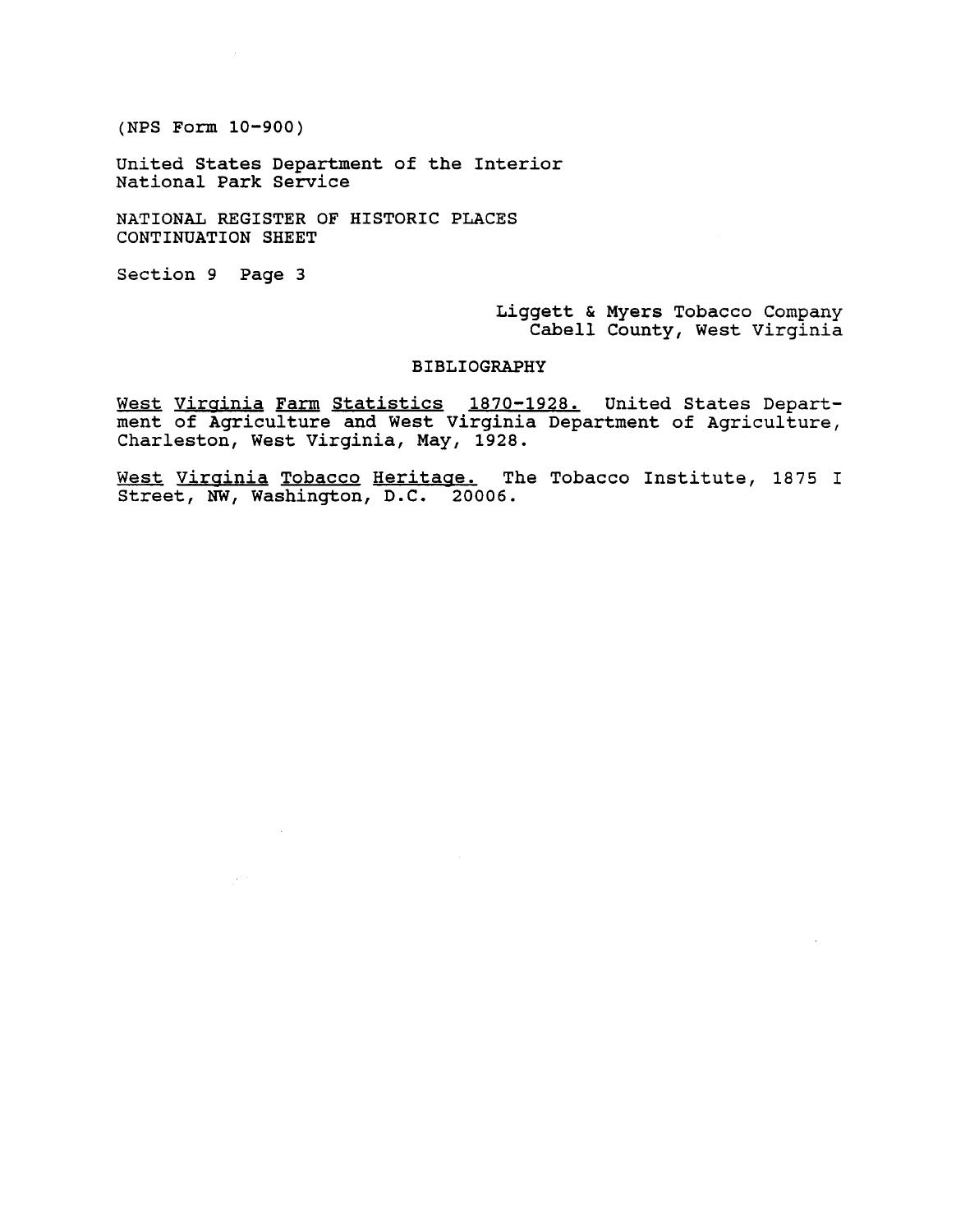United States Department of the Interior National Park Service

NATIONAL REGISTER OF HISTORIC PLACES CONTINUATION SHEET

Section **9** Page **3** 

 $\sqrt{1+\beta}$ 

Liggett & Myers Tobacco Company Cabell County, West Virginia

#### BIBLIOGRAPHY

West Virainia Farm Statistics **1870-1928.** United States Department of Agriculture and West Virginia Department of Agriculture, Charleston, West Virginia, May, **1928.** 

West Virginia Tobacco Heritage. The Tobacco Institute, 1875 I Street, **NW,** Washington, D.C. **20006.**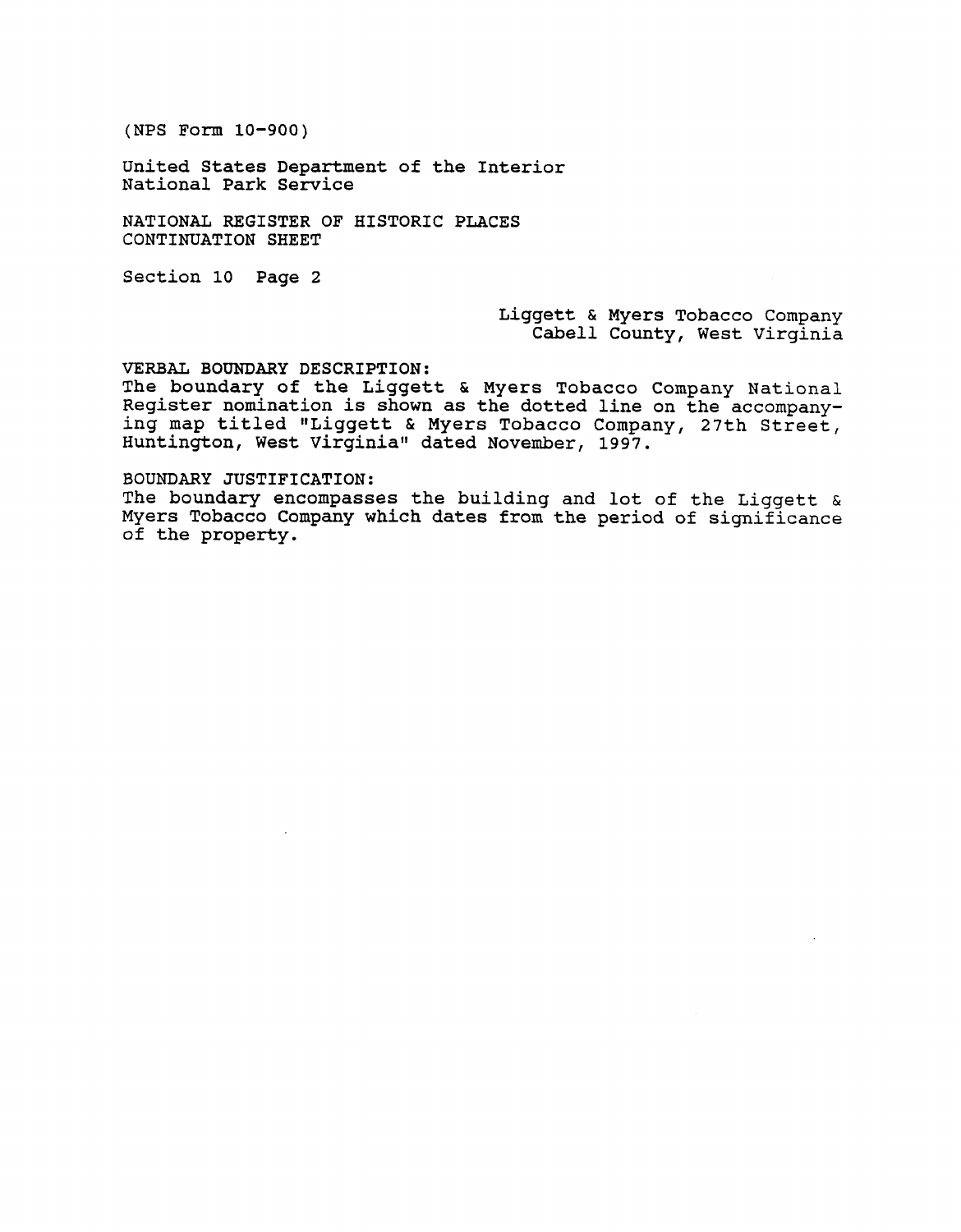United States Department of the Interior National Park Service

NATIONAL REGISTER OF HISTORIC PLACES CONTINUATION SHEET

Section 10 Page 2

Liggett & Myers Tobacco Company Cabell County, West Virginia

VERBAL **BOUNDARY** DESCRIPTION:

The boundary of the Liggett & Myers Tobacco Company National Register nomination is shown as the dotted line on the accompanying map titled "Liggett & Myers Tobacco Company, 27th Street, Huntington, West Virginia" dated November, 1997.

BOUNDARY JUSTIFICATION:

The boundary encompasses the building and lot of the Liggett & Myers Tobacco Company which dates from the period of significance of the property.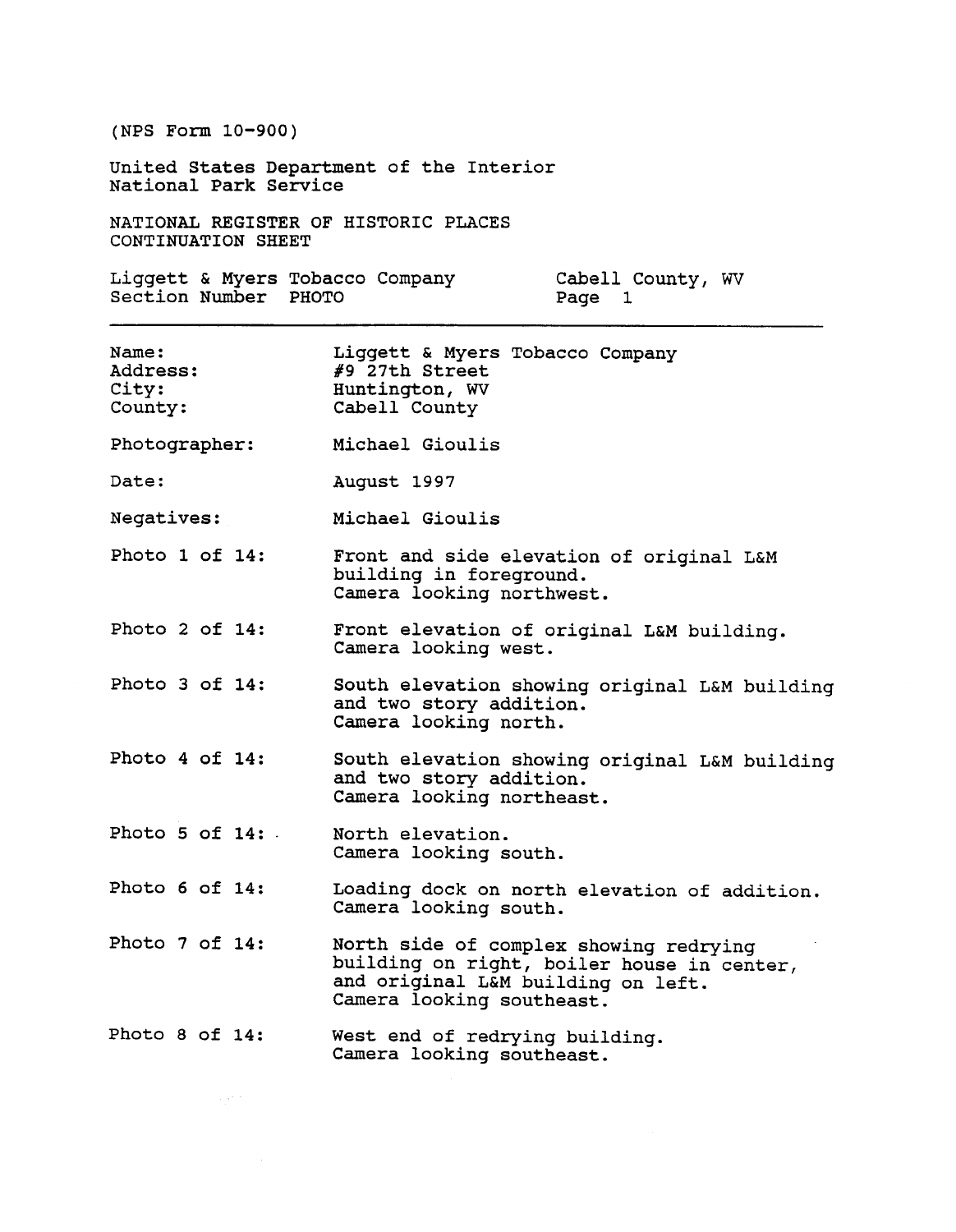United States Department of the Interior National Park Service

NATIONAL REGISTER OF HISTORIC PLACES CONTINUATION SHEET

Liggett & Myers Tobacco Company Cabell County, **WV**  Section Number PHOTO Page 1

| Name:<br>Address:<br>City:<br>County: | Liggett & Myers Tobacco Company<br>$#9$ 27th Street<br>Huntington, WV<br>Cabell County                                                                  |
|---------------------------------------|---------------------------------------------------------------------------------------------------------------------------------------------------------|
| Photographer:                         | Michael Gioulis                                                                                                                                         |
| Date:                                 | August 1997                                                                                                                                             |
| Negatives:                            | Michael Gioulis                                                                                                                                         |
| Photo 1 of 14:                        | Front and side elevation of original L&M<br>building in foreground.<br>Camera looking northwest.                                                        |
| Photo 2 of 14:                        | Front elevation of original L&M building.<br>Camera looking west.                                                                                       |
| Photo 3 of 14:                        | South elevation showing original L&M building<br>and two story addition.<br>Camera looking north.                                                       |
| Photo 4 of 14:                        | South elevation showing original L&M building<br>and two story addition.<br>Camera looking northeast.                                                   |
| Photo 5 of $14:$ .                    | North elevation.<br>Camera looking south.                                                                                                               |
| Photo 6 of 14:                        | Loading dock on north elevation of addition.<br>Camera looking south.                                                                                   |
| Photo 7 of 14:                        | North side of complex showing redrying<br>building on right, boiler house in center,<br>and original L&M building on left.<br>Camera looking southeast. |
| Photo 8 of 14:                        | West end of redrying building.<br>Camera looking southeast.                                                                                             |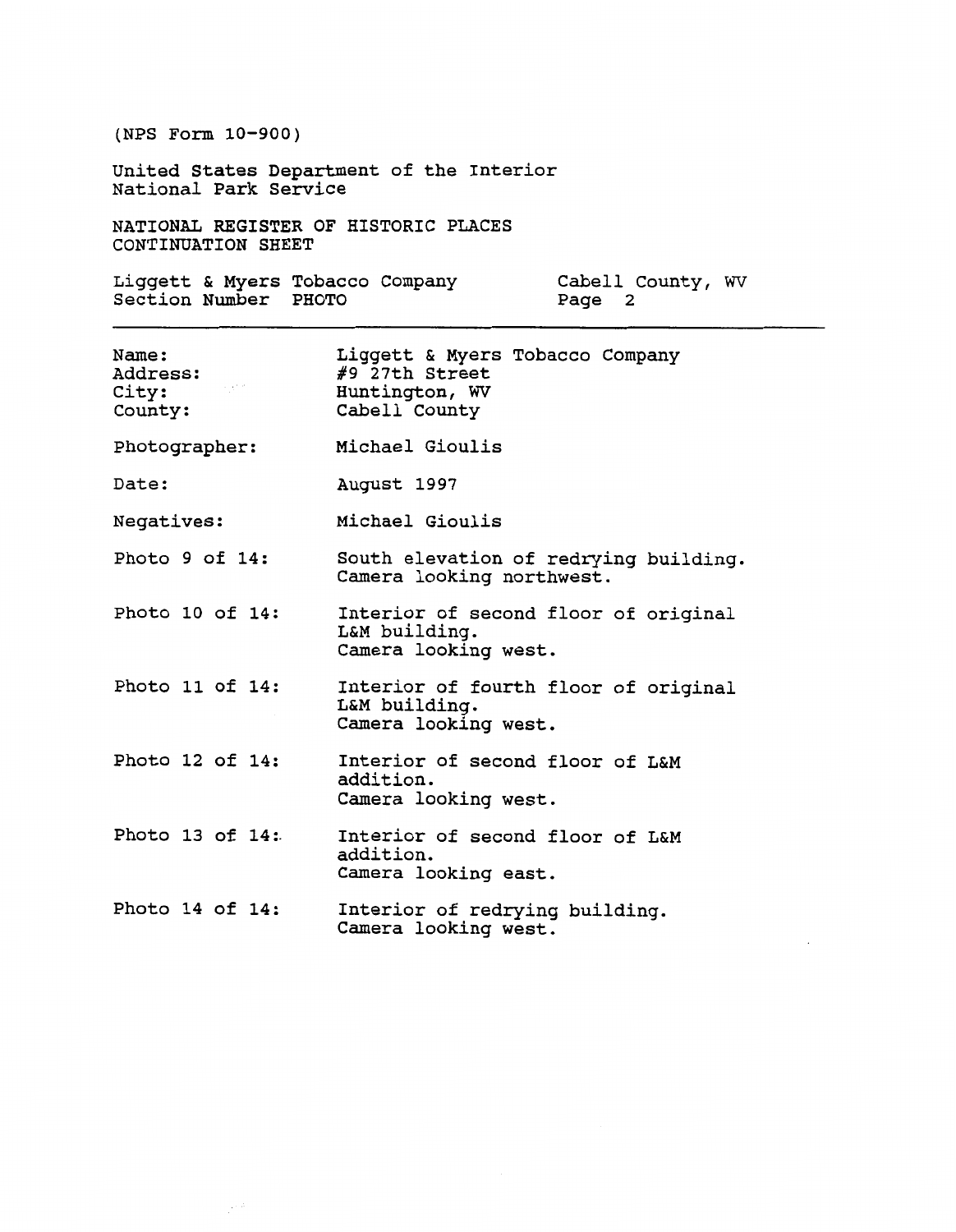United States Department of the Interior National Park Service

NATIONAL REGISTER OF HISTORIC PLACES CONTINUATION SHEET

Liggett & Myers Tobacco Company Cabell County, **WV**  Section Number PHOTO Page 2

 $\mathbb{R}^{2,3}$ 

| Name:<br>Address:<br>$\sim 50\%$<br>City:<br>County: | Liggett & Myers Tobacco Company<br>#9 27th Street<br>Huntington, WV<br>Cabell County |
|------------------------------------------------------|--------------------------------------------------------------------------------------|
| Photographer:                                        | Michael Gioulis                                                                      |
| Date:                                                | August 1997                                                                          |
| Negatives:                                           | Michael Gioulis                                                                      |
| Photo 9 of 14:                                       | South elevation of redrying building.<br>Camera looking northwest.                   |
| Photo 10 of 14:                                      | Interior of second floor of original<br>L&M building.<br>Camera looking west.        |
| Photo 11 of 14:                                      | Interior of fourth floor of original<br>L&M building.<br>Camera looking west.        |
| Photo 12 of 14:                                      | Interior of second floor of L&M<br>addition.<br>Camera looking west.                 |
| Photo 13 of 14:                                      | Interior of second floor of L&M<br>addition.<br>Camera looking east.                 |
| Photo 14 of 14:                                      | Interior of redrying building.<br>Camera looking west.                               |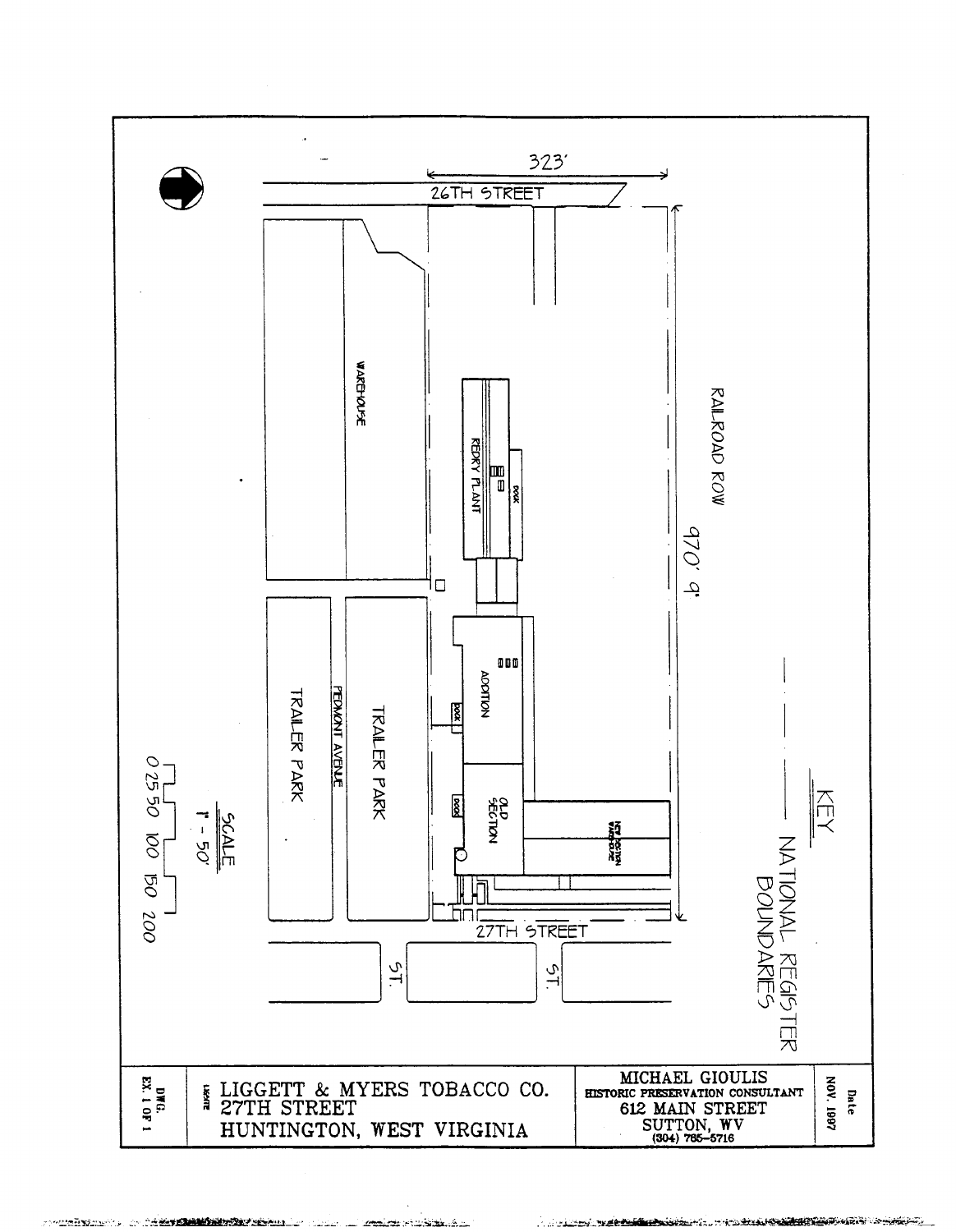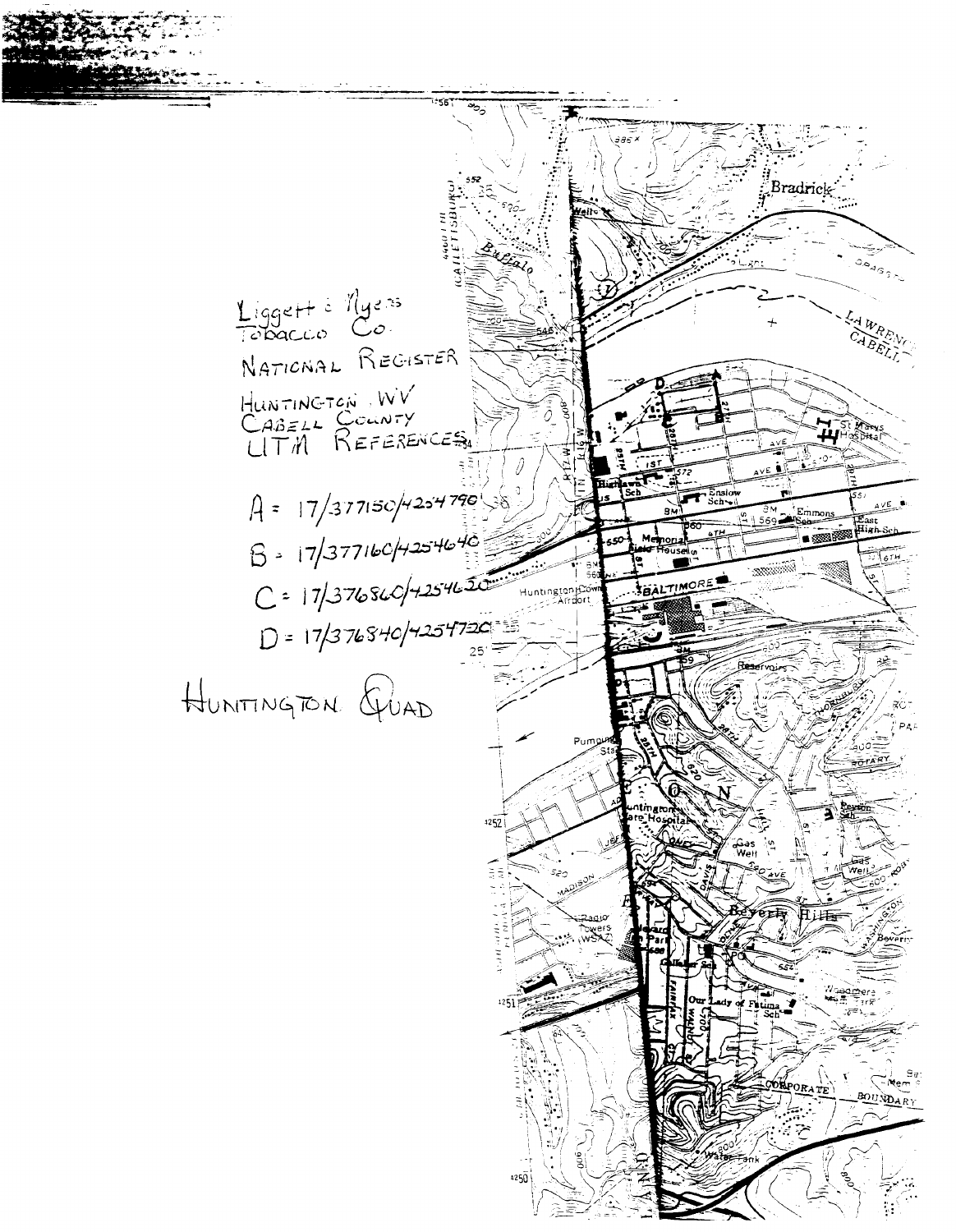Bradrick  $\circ \circ \circ \circ \circ \circ \circ$ Liggett<sup>2</sup> Myers NATIONAL REGISTER HUNTINGTON WV<br>CABELL COUNTY<br>UTM REFERENCES  $\mathbf{\mu}$  is a state A = 17/377150/4254790 AVE\_I Emmons **East SALTIMORE** Huntington<br>Arriort  $D = 17/376840/4254720$ HUNITINGTON GUAD  $1252$ Ğ ைமை 4250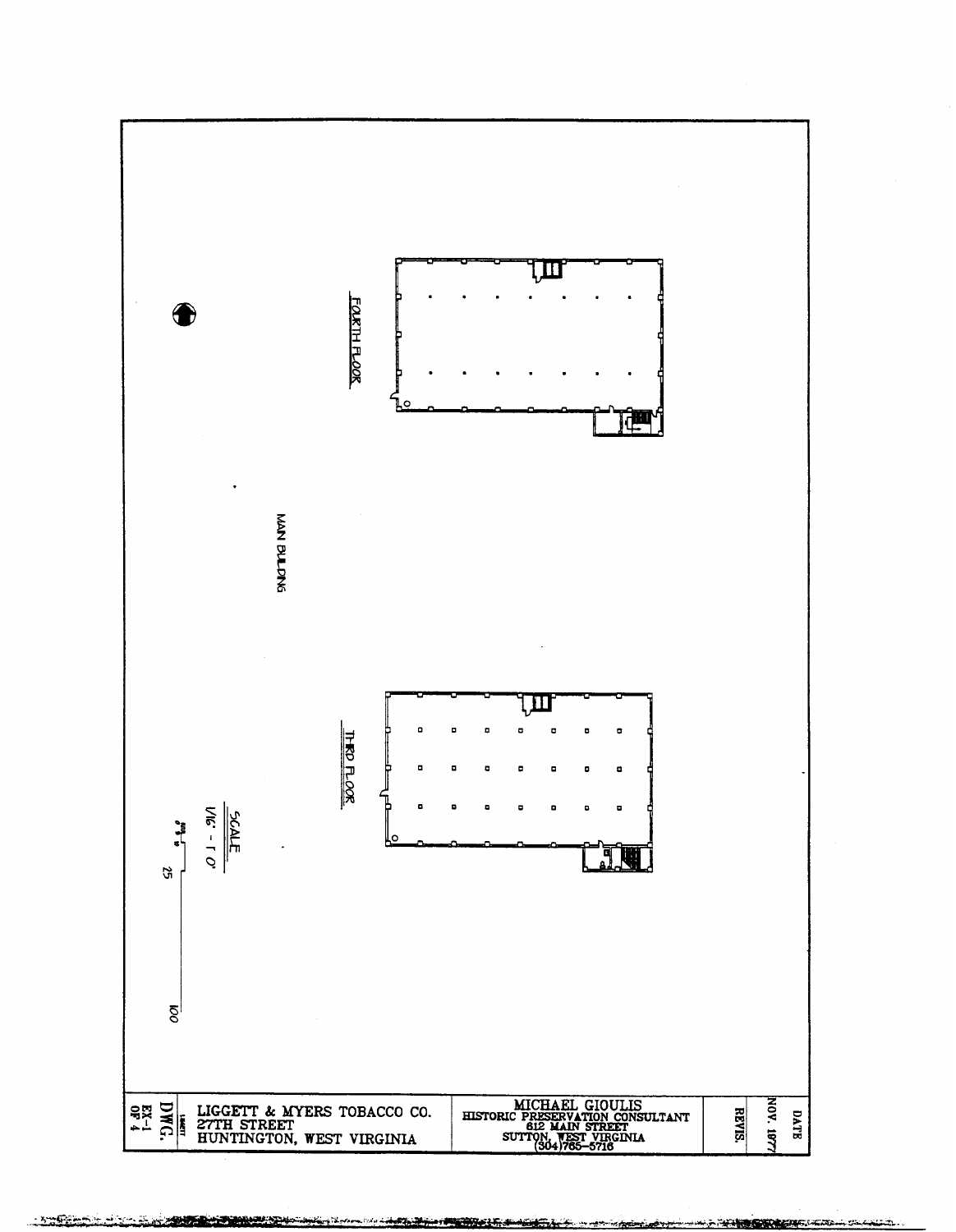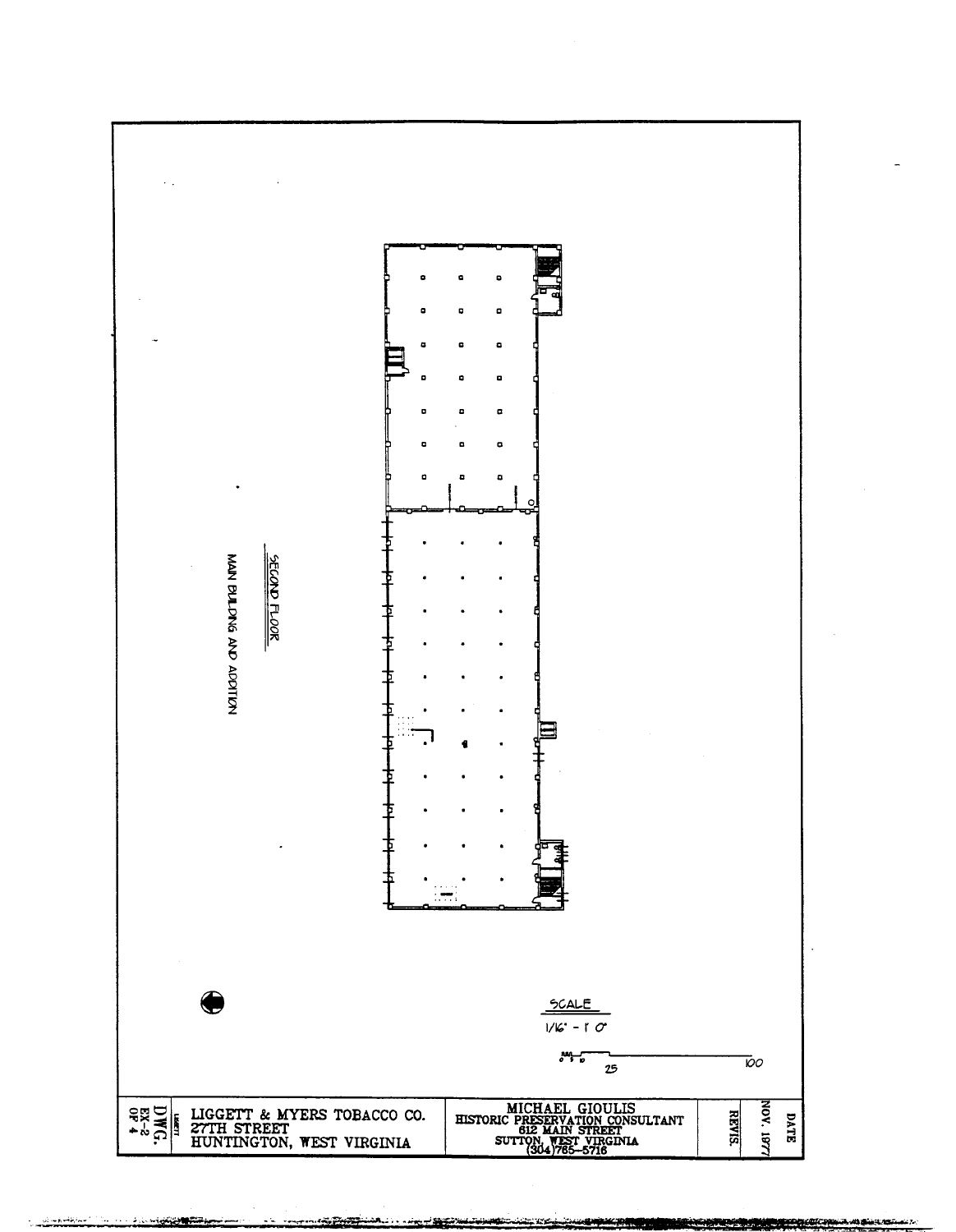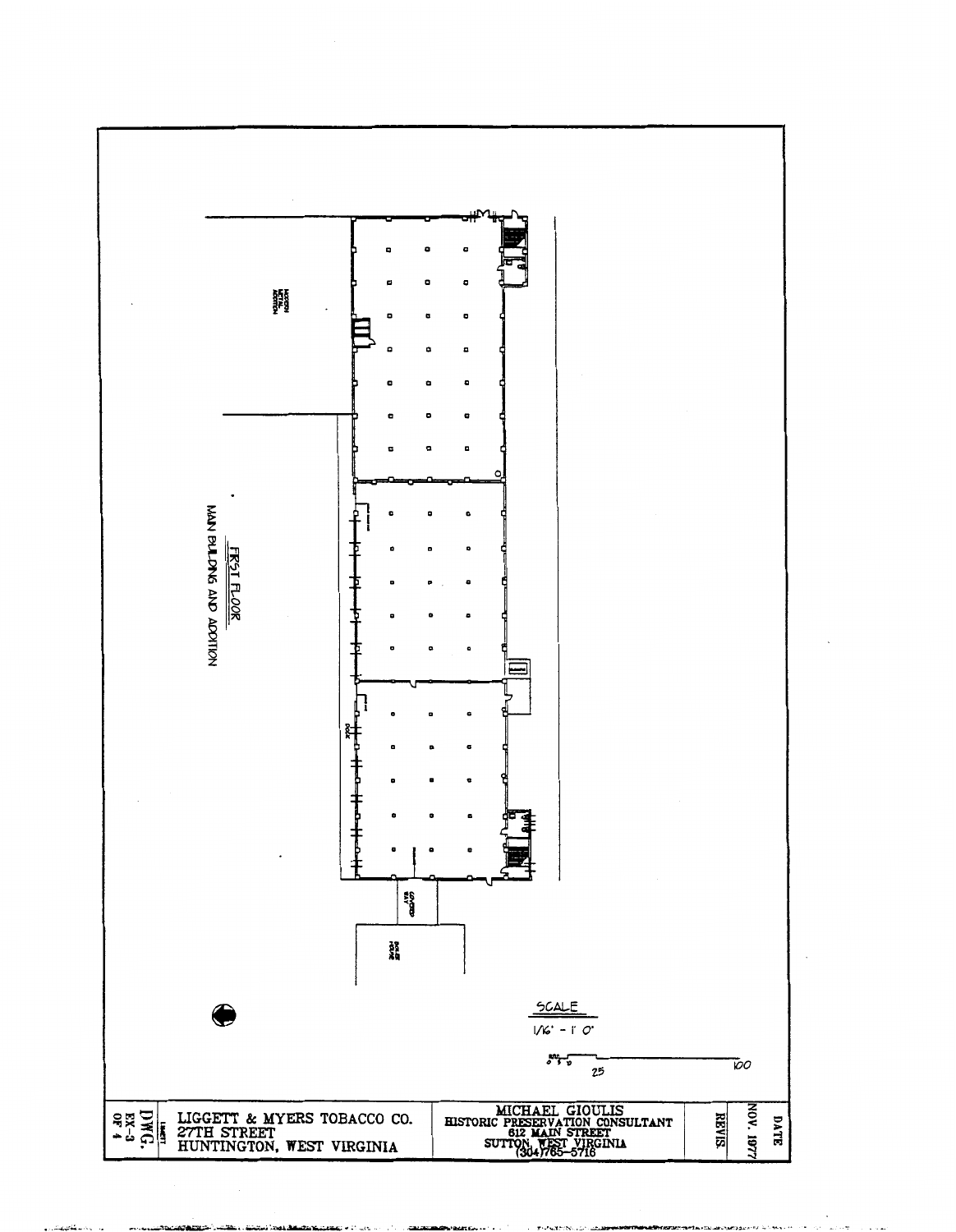

 $\ddot{\phantom{a}}$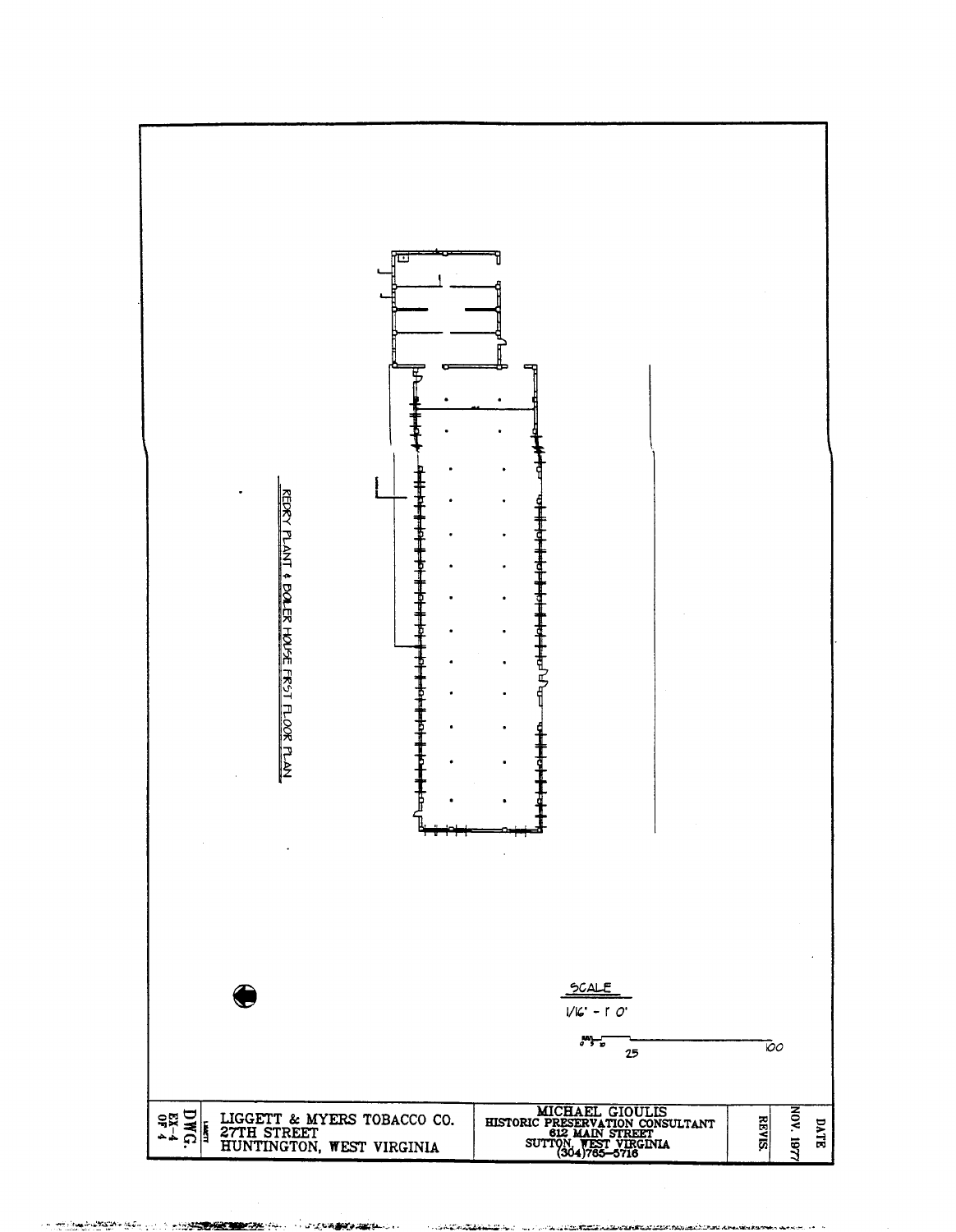

A PROPERTY AND ANOTHER THE REPORT OF THE STATE OF THE REPORT OF THE REPORT OF THE REPORT OF THE REPORT OF THE REPORT OF THE REPORT OF THE REPORT OF THE REPORT OF THE REPORT OF THE REPORT OF THE REPORT OF THE REPORT OF THE

**Social Contract and Contract Contract Contract Contract Contract Contract Contract Contract Contract Contract** <u>. I I di titlik pala stant sin mandi bas provinsi serva ara</u>